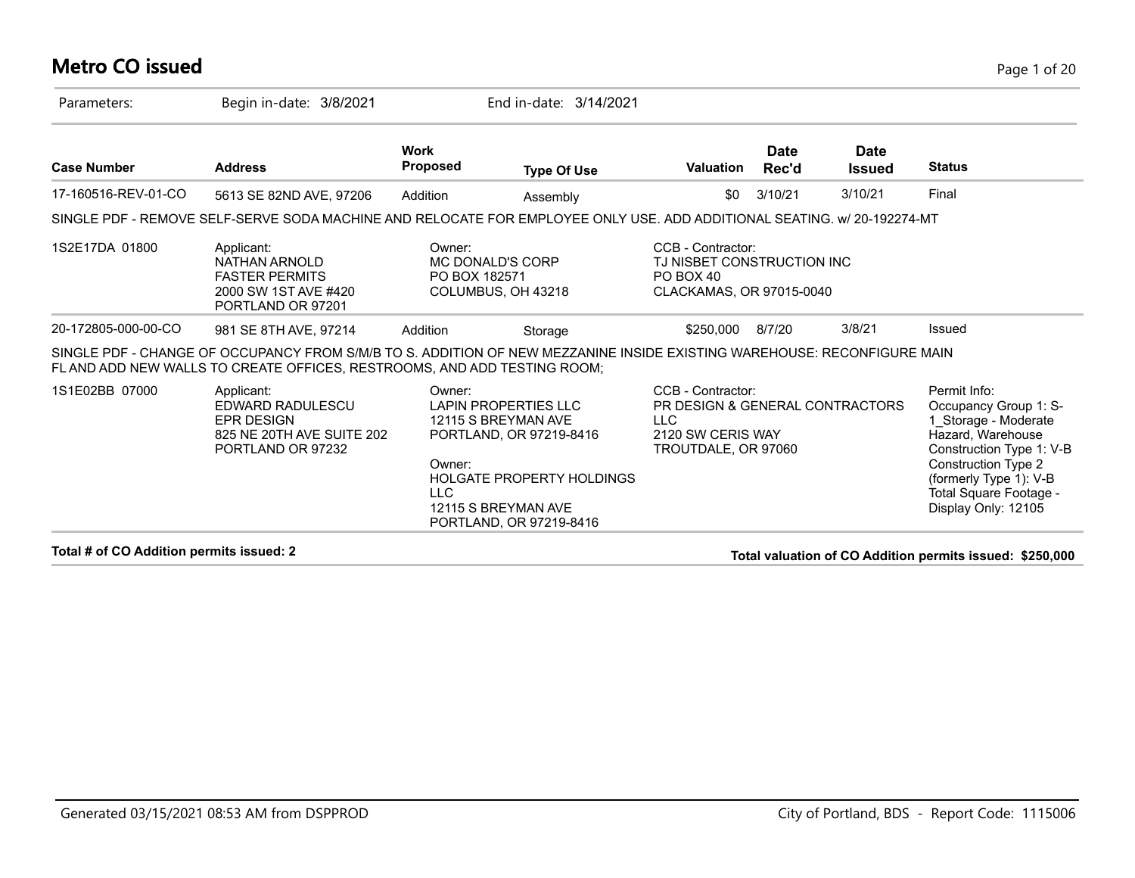### **Metro CO issued** Page 1 of 20

| Parameters:         | Begin in-date: 3/8/2021                                                                                                                                                                             |                                | End in-date: 3/14/2021                                                                                                                                              |                                                                                                                |                      |                              |                                                                                                                                                                                                                         |
|---------------------|-----------------------------------------------------------------------------------------------------------------------------------------------------------------------------------------------------|--------------------------------|---------------------------------------------------------------------------------------------------------------------------------------------------------------------|----------------------------------------------------------------------------------------------------------------|----------------------|------------------------------|-------------------------------------------------------------------------------------------------------------------------------------------------------------------------------------------------------------------------|
| <b>Case Number</b>  | <b>Address</b>                                                                                                                                                                                      | <b>Work</b><br>Proposed        | <b>Type Of Use</b>                                                                                                                                                  | <b>Valuation</b>                                                                                               | <b>Date</b><br>Rec'd | <b>Date</b><br><b>Issued</b> | <b>Status</b>                                                                                                                                                                                                           |
| 17-160516-REV-01-CO | 5613 SE 82ND AVE, 97206                                                                                                                                                                             | Addition                       | Assembly                                                                                                                                                            | \$0                                                                                                            | 3/10/21              | 3/10/21                      | Final                                                                                                                                                                                                                   |
|                     | SINGLE PDF - REMOVE SELF-SERVE SODA MACHINE AND RELOCATE FOR EMPLOYEE ONLY USE. ADD ADDITIONAL SEATING, w/ 20-192274-MT                                                                             |                                |                                                                                                                                                                     |                                                                                                                |                      |                              |                                                                                                                                                                                                                         |
| 1S2E17DA 01800      | Applicant:<br>NATHAN ARNOLD<br><b>FASTER PERMITS</b><br>2000 SW 1ST AVE #420<br>PORTLAND OR 97201                                                                                                   | Owner:<br>PO BOX 182571        | <b>MC DONALD'S CORP</b><br>COLUMBUS, OH 43218                                                                                                                       | CCB - Contractor:<br>TJ NISBET CONSTRUCTION INC<br>PO BOX 40<br>CLACKAMAS, OR 97015-0040                       |                      |                              |                                                                                                                                                                                                                         |
| 20-172805-000-00-CO | 981 SE 8TH AVE, 97214                                                                                                                                                                               | Addition                       | Storage                                                                                                                                                             | \$250,000                                                                                                      | 8/7/20               | 3/8/21                       | Issued                                                                                                                                                                                                                  |
|                     | SINGLE PDF - CHANGE OF OCCUPANCY FROM S/M/B TO S. ADDITION OF NEW MEZZANINE INSIDE EXISTING WAREHOUSE: RECONFIGURE MAIN<br>FL AND ADD NEW WALLS TO CREATE OFFICES, RESTROOMS, AND ADD TESTING ROOM; |                                |                                                                                                                                                                     |                                                                                                                |                      |                              |                                                                                                                                                                                                                         |
| 1S1E02BB 07000      | Applicant:<br>EDWARD RADULESCU<br><b>EPR DESIGN</b><br>825 NE 20TH AVE SUITE 202<br>PORTLAND OR 97232                                                                                               | Owner:<br>Owner:<br><b>LLC</b> | <b>LAPIN PROPERTIES LLC</b><br>12115 S BREYMAN AVE<br>PORTLAND, OR 97219-8416<br><b>HOLGATE PROPERTY HOLDINGS</b><br>12115 S BREYMAN AVE<br>PORTLAND, OR 97219-8416 | CCB - Contractor:<br>PR DESIGN & GENERAL CONTRACTORS<br><b>LLC</b><br>2120 SW CERIS WAY<br>TROUTDALE, OR 97060 |                      |                              | Permit Info:<br>Occupancy Group 1: S-<br>1_Storage - Moderate<br>Hazard, Warehouse<br>Construction Type 1: V-B<br><b>Construction Type 2</b><br>(formerly Type 1): V-B<br>Total Square Footage -<br>Display Only: 12105 |

**Total # of CO Addition permits issued: 2 Total valuation of CO Addition permits issued: \$250,000**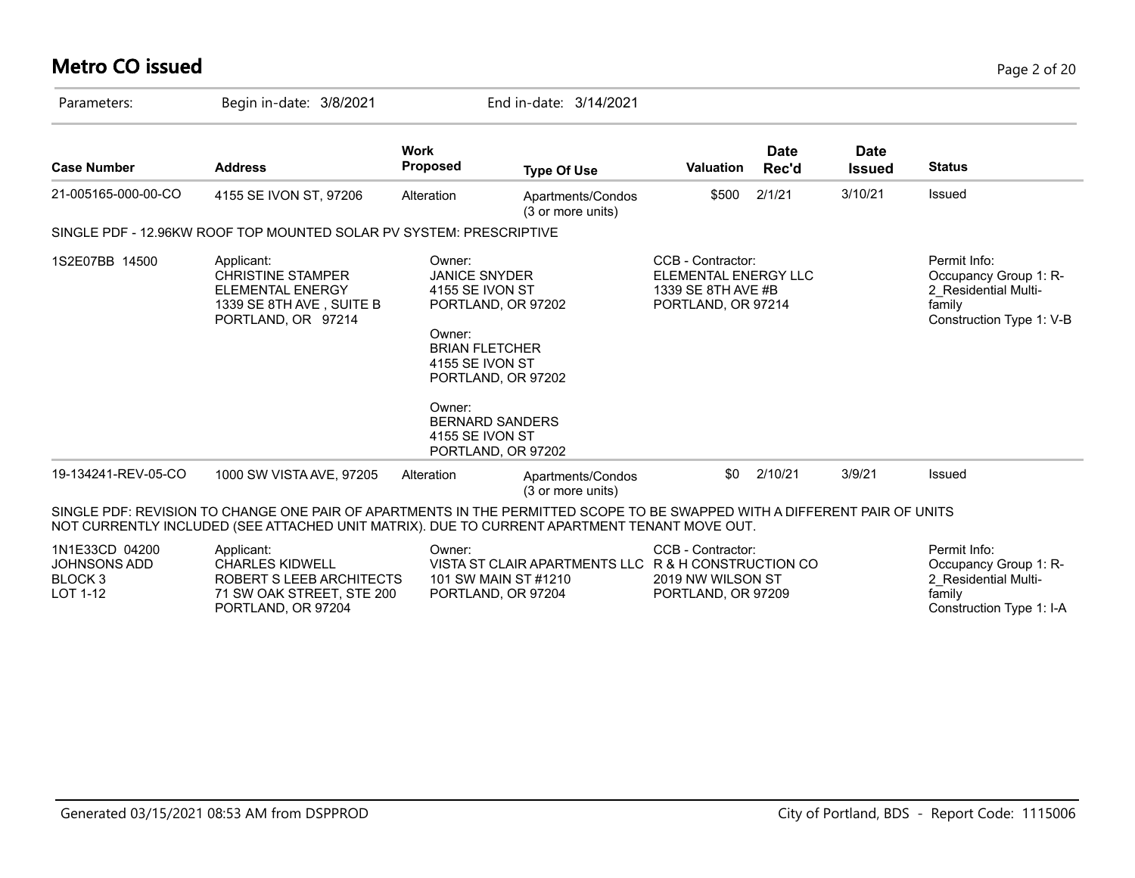# **Metro CO issued** Page 2 of 20

| Parameters:                                                             | Begin in-date: 3/8/2021                                                                                                                                                                                                   |                                                                                                                                                                | End in-date: 3/14/2021                                                                            |                                                                                       |                      |                              |                                                                                                     |
|-------------------------------------------------------------------------|---------------------------------------------------------------------------------------------------------------------------------------------------------------------------------------------------------------------------|----------------------------------------------------------------------------------------------------------------------------------------------------------------|---------------------------------------------------------------------------------------------------|---------------------------------------------------------------------------------------|----------------------|------------------------------|-----------------------------------------------------------------------------------------------------|
| <b>Case Number</b>                                                      | <b>Address</b>                                                                                                                                                                                                            | <b>Work</b><br><b>Proposed</b>                                                                                                                                 | <b>Type Of Use</b>                                                                                | <b>Valuation</b>                                                                      | <b>Date</b><br>Rec'd | <b>Date</b><br><b>Issued</b> | <b>Status</b>                                                                                       |
| 21-005165-000-00-CO                                                     | 4155 SE IVON ST, 97206                                                                                                                                                                                                    | Alteration                                                                                                                                                     | Apartments/Condos<br>(3 or more units)                                                            | \$500                                                                                 | 2/1/21               | 3/10/21                      | Issued                                                                                              |
|                                                                         | SINGLE PDF - 12.96KW ROOF TOP MOUNTED SOLAR PV SYSTEM: PRESCRIPTIVE                                                                                                                                                       |                                                                                                                                                                |                                                                                                   |                                                                                       |                      |                              |                                                                                                     |
| 1S2E07BB 14500                                                          | Applicant:<br><b>CHRISTINE STAMPER</b><br><b>ELEMENTAL ENERGY</b><br>1339 SE 8TH AVE, SUITE B<br>PORTLAND, OR 97214                                                                                                       | Owner:<br><b>JANICE SNYDER</b><br>4155 SE IVON ST<br>Owner:<br><b>BRIAN FLETCHER</b><br>4155 SE IVON ST<br>Owner:<br><b>BERNARD SANDERS</b><br>4155 SE IVON ST | PORTLAND, OR 97202<br>PORTLAND, OR 97202<br>PORTLAND, OR 97202                                    | CCB - Contractor:<br>ELEMENTAL ENERGY LLC<br>1339 SE 8TH AVE #B<br>PORTLAND, OR 97214 |                      |                              | Permit Info:<br>Occupancy Group 1: R-<br>2 Residential Multi-<br>family<br>Construction Type 1: V-B |
| 19-134241-REV-05-CO                                                     | 1000 SW VISTA AVE, 97205                                                                                                                                                                                                  | Alteration                                                                                                                                                     | Apartments/Condos<br>(3 or more units)                                                            | \$0                                                                                   | 2/10/21              | 3/9/21                       | Issued                                                                                              |
|                                                                         | SINGLE PDF: REVISION TO CHANGE ONE PAIR OF APARTMENTS IN THE PERMITTED SCOPE TO BE SWAPPED WITH A DIFFERENT PAIR OF UNITS<br>NOT CURRENTLY INCLUDED (SEE ATTACHED UNIT MATRIX). DUE TO CURRENT APARTMENT TENANT MOVE OUT. |                                                                                                                                                                |                                                                                                   |                                                                                       |                      |                              |                                                                                                     |
| 1N1E33CD 04200<br><b>JOHNSONS ADD</b><br>BLOCK <sub>3</sub><br>LOT 1-12 | Applicant:<br><b>CHARLES KIDWELL</b><br>ROBERT S LEEB ARCHITECTS<br>71 SW OAK STREET, STE 200<br>PORTLAND, OR 97204                                                                                                       | Owner:                                                                                                                                                         | VISTA ST CLAIR APARTMENTS LLC R & H CONSTRUCTION CO<br>101 SW MAIN ST #1210<br>PORTLAND, OR 97204 | CCB - Contractor:<br>2019 NW WILSON ST<br>PORTLAND, OR 97209                          |                      |                              | Permit Info:<br>Occupancy Group 1: R-<br>2 Residential Multi-<br>family<br>Construction Type 1: I-A |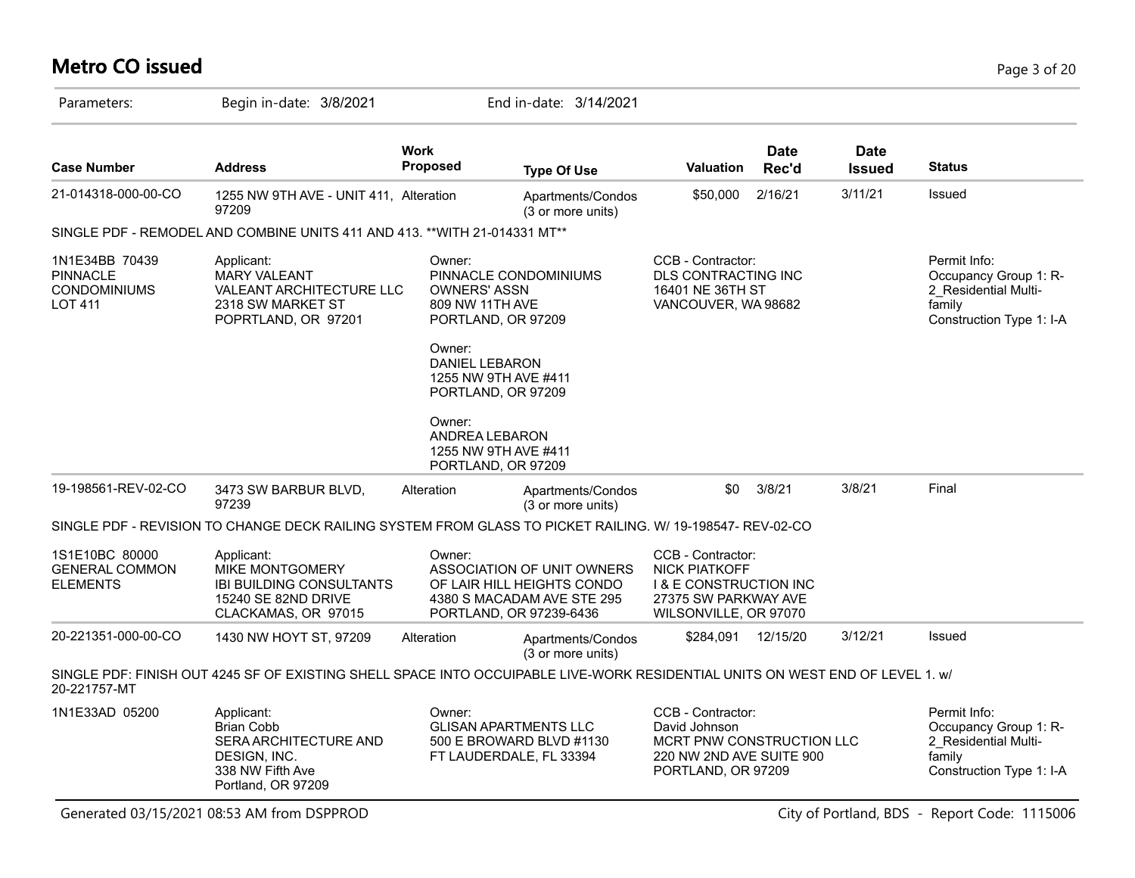# **Metro CO issued** Page 3 of 20

| Parameters:                                                                                                                                                                             | Begin in-date: 3/8/2021                                                                                                       |                                                                                                                                                                                  | End in-date: 3/14/2021                                                                                            |                                                                                                                                 |                      |                              |                                                                                                     |
|-----------------------------------------------------------------------------------------------------------------------------------------------------------------------------------------|-------------------------------------------------------------------------------------------------------------------------------|----------------------------------------------------------------------------------------------------------------------------------------------------------------------------------|-------------------------------------------------------------------------------------------------------------------|---------------------------------------------------------------------------------------------------------------------------------|----------------------|------------------------------|-----------------------------------------------------------------------------------------------------|
| <b>Case Number</b>                                                                                                                                                                      | <b>Address</b>                                                                                                                | <b>Work</b><br><b>Proposed</b>                                                                                                                                                   | <b>Type Of Use</b>                                                                                                | <b>Valuation</b>                                                                                                                | <b>Date</b><br>Rec'd | <b>Date</b><br><b>Issued</b> | <b>Status</b>                                                                                       |
| 21-014318-000-00-CO                                                                                                                                                                     | 1255 NW 9TH AVE - UNIT 411, Alteration<br>97209                                                                               |                                                                                                                                                                                  | Apartments/Condos<br>(3 or more units)                                                                            | \$50,000                                                                                                                        | 2/16/21              | 3/11/21                      | Issued                                                                                              |
|                                                                                                                                                                                         | SINGLE PDF - REMODEL AND COMBINE UNITS 411 AND 413. ** WITH 21-014331 MT**                                                    |                                                                                                                                                                                  |                                                                                                                   |                                                                                                                                 |                      |                              |                                                                                                     |
| 1N1E34BB 70439<br>Applicant:<br><b>PINNACLE</b><br><b>MARY VALEANT</b><br>CONDOMINIUMS<br><b>VALEANT ARCHITECTURE LLC</b><br><b>LOT 411</b><br>2318 SW MARKET ST<br>POPRTLAND, OR 97201 |                                                                                                                               | Owner:<br>PINNACLE CONDOMINIUMS<br><b>OWNERS' ASSN</b><br>809 NW 11TH AVE<br>PORTLAND, OR 97209<br>Owner:<br><b>DANIEL LEBARON</b><br>1255 NW 9TH AVE #411<br>PORTLAND, OR 97209 |                                                                                                                   | CCB - Contractor:<br>DLS CONTRACTING INC<br>16401 NE 36TH ST<br>VANCOUVER, WA 98682                                             |                      |                              | Permit Info:<br>Occupancy Group 1: R-<br>2 Residential Multi-<br>family<br>Construction Type 1: I-A |
| 19-198561-REV-02-CO                                                                                                                                                                     | 3473 SW BARBUR BLVD,<br>97239                                                                                                 | Owner:<br>ANDREA LEBARON<br>Alteration                                                                                                                                           | 1255 NW 9TH AVE #411<br>PORTLAND, OR 97209<br>Apartments/Condos<br>(3 or more units)                              | \$0                                                                                                                             | 3/8/21               | 3/8/21                       | Final                                                                                               |
|                                                                                                                                                                                         | SINGLE PDF - REVISION TO CHANGE DECK RAILING SYSTEM FROM GLASS TO PICKET RAILING. W/ 19-198547- REV-02-CO                     |                                                                                                                                                                                  |                                                                                                                   |                                                                                                                                 |                      |                              |                                                                                                     |
| 1S1E10BC 80000<br><b>GENERAL COMMON</b><br><b>ELEMENTS</b>                                                                                                                              | Applicant:<br>MIKE MONTGOMERY<br><b>IBI BUILDING CONSULTANTS</b><br>15240 SE 82ND DRIVE<br>CLACKAMAS, OR 97015                | Owner:                                                                                                                                                                           | ASSOCIATION OF UNIT OWNERS<br>OF LAIR HILL HEIGHTS CONDO<br>4380 S MACADAM AVE STE 295<br>PORTLAND, OR 97239-6436 | CCB - Contractor:<br><b>NICK PIATKOFF</b><br><b>I &amp; E CONSTRUCTION INC</b><br>27375 SW PARKWAY AVE<br>WILSONVILLE, OR 97070 |                      |                              |                                                                                                     |
| 20-221351-000-00-CO                                                                                                                                                                     | 1430 NW HOYT ST, 97209                                                                                                        | Alteration                                                                                                                                                                       | Apartments/Condos<br>(3 or more units)                                                                            | \$284,091                                                                                                                       | 12/15/20             | 3/12/21                      | Issued                                                                                              |
| 20-221757-MT                                                                                                                                                                            | SINGLE PDF: FINISH OUT 4245 SF OF EXISTING SHELL SPACE INTO OCCUIPABLE LIVE-WORK RESIDENTIAL UNITS ON WEST END OF LEVEL 1. W/ |                                                                                                                                                                                  |                                                                                                                   |                                                                                                                                 |                      |                              |                                                                                                     |
| 1N1E33AD 05200                                                                                                                                                                          | Applicant:<br><b>Brian Cobb</b><br>SERA ARCHITECTURE AND<br>DESIGN, INC.<br>338 NW Fifth Ave<br>Portland, OR 97209            | Owner:                                                                                                                                                                           | <b>GLISAN APARTMENTS LLC</b><br>500 E BROWARD BLVD #1130<br>FT LAUDERDALE, FL 33394                               | CCB - Contractor:<br>David Johnson<br>MCRT PNW CONSTRUCTION LLC<br>220 NW 2ND AVE SUITE 900<br>PORTLAND, OR 97209               |                      |                              | Permit Info:<br>Occupancy Group 1: R-<br>2_Residential Multi-<br>family<br>Construction Type 1: I-A |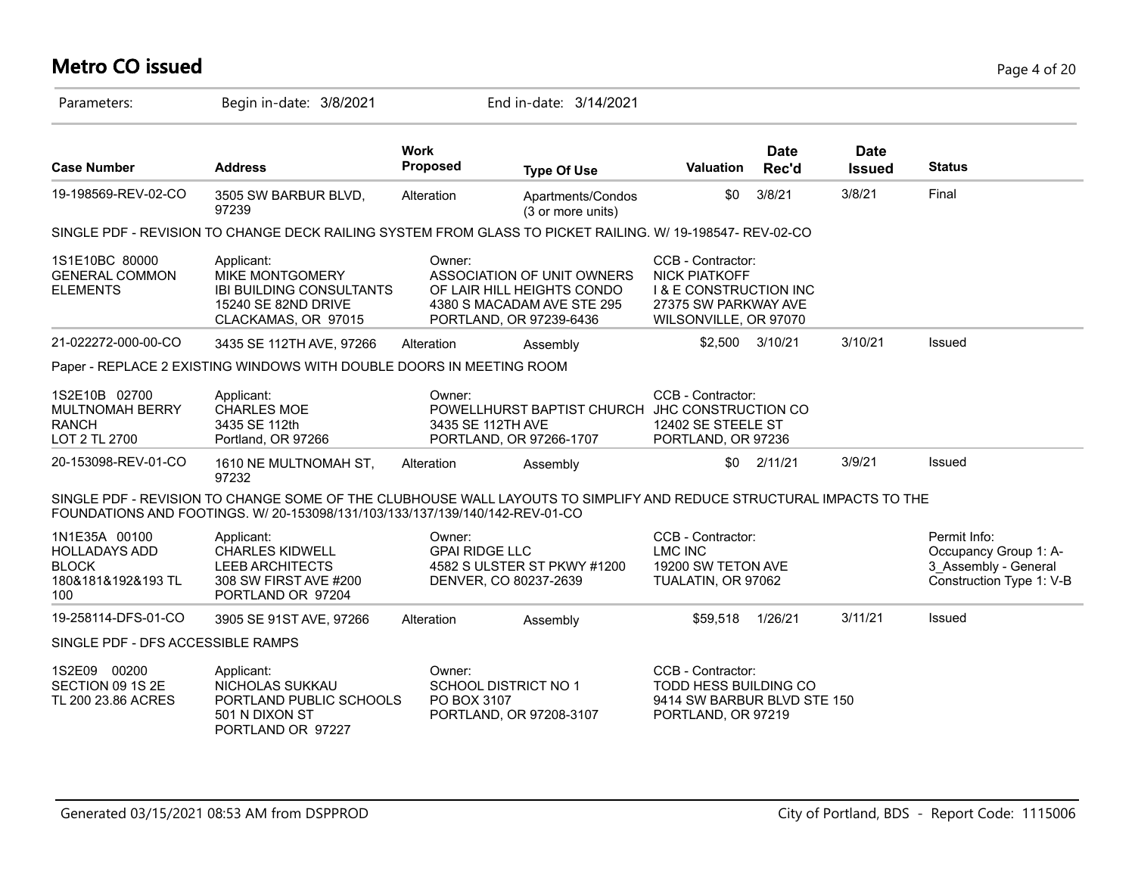# **Metro CO issued** Page 4 of 20

| Parameters:                                                                        | Begin in-date: 3/8/2021                                                                                                                                                                             |                                                                                 | End in-date: 3/14/2021                                                                 |                                                                                                                                 |                      |                              |                                                                                           |
|------------------------------------------------------------------------------------|-----------------------------------------------------------------------------------------------------------------------------------------------------------------------------------------------------|---------------------------------------------------------------------------------|----------------------------------------------------------------------------------------|---------------------------------------------------------------------------------------------------------------------------------|----------------------|------------------------------|-------------------------------------------------------------------------------------------|
| <b>Case Number</b>                                                                 | <b>Address</b>                                                                                                                                                                                      | <b>Work</b><br><b>Proposed</b>                                                  | <b>Type Of Use</b>                                                                     | <b>Valuation</b>                                                                                                                | <b>Date</b><br>Rec'd | <b>Date</b><br><b>Issued</b> | <b>Status</b>                                                                             |
| 19-198569-REV-02-CO                                                                | 3505 SW BARBUR BLVD,<br>97239                                                                                                                                                                       | Alteration                                                                      | Apartments/Condos<br>(3 or more units)                                                 | \$0                                                                                                                             | 3/8/21               | 3/8/21                       | Final                                                                                     |
|                                                                                    | SINGLE PDF - REVISION TO CHANGE DECK RAILING SYSTEM FROM GLASS TO PICKET RAILING. W/ 19-198547- REV-02-CO                                                                                           |                                                                                 |                                                                                        |                                                                                                                                 |                      |                              |                                                                                           |
| 1S1E10BC 80000<br><b>GENERAL COMMON</b><br><b>ELEMENTS</b>                         | Applicant:<br><b>MIKE MONTGOMERY</b><br><b>IBI BUILDING CONSULTANTS</b><br><b>15240 SE 82ND DRIVE</b><br>CLACKAMAS, OR 97015                                                                        | Owner:<br>PORTLAND, OR 97239-6436                                               | ASSOCIATION OF UNIT OWNERS<br>OF LAIR HILL HEIGHTS CONDO<br>4380 S MACADAM AVE STE 295 | CCB - Contractor:<br><b>NICK PIATKOFF</b><br><b>I &amp; E CONSTRUCTION INC</b><br>27375 SW PARKWAY AVE<br>WILSONVILLE, OR 97070 |                      |                              |                                                                                           |
| 21-022272-000-00-CO                                                                | 3435 SE 112TH AVE, 97266                                                                                                                                                                            | Alteration                                                                      | Assembly                                                                               |                                                                                                                                 | \$2,500 3/10/21      | 3/10/21                      | Issued                                                                                    |
|                                                                                    | Paper - REPLACE 2 EXISTING WINDOWS WITH DOUBLE DOORS IN MEETING ROOM                                                                                                                                |                                                                                 |                                                                                        |                                                                                                                                 |                      |                              |                                                                                           |
| 1S2E10B 02700<br><b>MULTNOMAH BERRY</b><br><b>RANCH</b><br>LOT 2 TL 2700           | Applicant:<br><b>CHARLES MOE</b><br>3435 SE 112th<br>Portland, OR 97266                                                                                                                             | Owner:<br>3435 SE 112TH AVE<br>PORTLAND, OR 97266-1707                          | POWELLHURST BAPTIST CHURCH                                                             | CCB - Contractor:<br>JHC CONSTRUCTION CO<br>12402 SE STEELE ST<br>PORTLAND, OR 97236                                            |                      |                              |                                                                                           |
| 20-153098-REV-01-CO                                                                | 1610 NE MULTNOMAH ST,<br>97232                                                                                                                                                                      | Alteration                                                                      | Assembly                                                                               | \$0                                                                                                                             | 2/11/21              | 3/9/21                       | <b>Issued</b>                                                                             |
|                                                                                    | SINGLE PDF - REVISION TO CHANGE SOME OF THE CLUBHOUSE WALL LAYOUTS TO SIMPLIFY AND REDUCE STRUCTURAL IMPACTS TO THE<br>FOUNDATIONS AND FOOTINGS. W/ 20-153098/131/103/133/137/139/140/142-REV-01-CO |                                                                                 |                                                                                        |                                                                                                                                 |                      |                              |                                                                                           |
| 1N1E35A 00100<br><b>HOLLADAYS ADD</b><br><b>BLOCK</b><br>180&181&192&193 TL<br>100 | Applicant:<br><b>CHARLES KIDWELL</b><br><b>LEEB ARCHITECTS</b><br>308 SW FIRST AVE #200<br>PORTLAND OR 97204                                                                                        | Owner:<br><b>GPAI RIDGE LLC</b><br>DENVER, CO 80237-2639                        | 4582 S ULSTER ST PKWY #1200                                                            | CCB - Contractor:<br><b>LMC INC</b><br>19200 SW TETON AVE<br>TUALATIN, OR 97062                                                 |                      |                              | Permit Info:<br>Occupancy Group 1: A-<br>3 Assembly - General<br>Construction Type 1: V-B |
| 19-258114-DFS-01-CO                                                                | 3905 SE 91ST AVE, 97266                                                                                                                                                                             | Alteration                                                                      | Assembly                                                                               | \$59,518                                                                                                                        | 1/26/21              | 3/11/21                      | <b>Issued</b>                                                                             |
| SINGLE PDF - DFS ACCESSIBLE RAMPS                                                  |                                                                                                                                                                                                     |                                                                                 |                                                                                        |                                                                                                                                 |                      |                              |                                                                                           |
| 1S2E09 00200<br>SECTION 09 1S 2E<br>TL 200 23.86 ACRES                             | Applicant:<br>NICHOLAS SUKKAU<br>PORTLAND PUBLIC SCHOOLS<br>501 N DIXON ST<br>PORTLAND OR 97227                                                                                                     | Owner:<br><b>SCHOOL DISTRICT NO 1</b><br>PO BOX 3107<br>PORTLAND, OR 97208-3107 |                                                                                        | CCB - Contractor:<br><b>TODD HESS BUILDING CO</b><br>9414 SW BARBUR BLVD STE 150<br>PORTLAND, OR 97219                          |                      |                              |                                                                                           |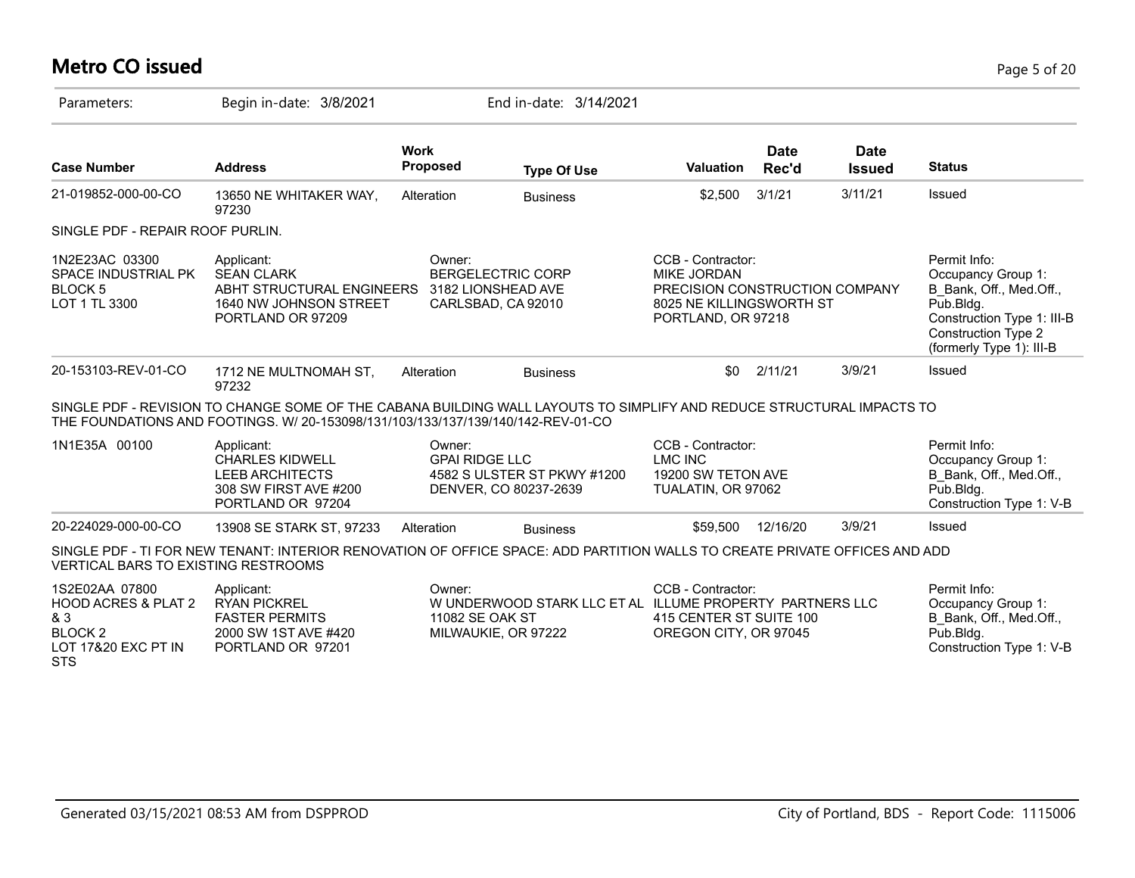# **Metro CO issued** Page 5 of 20

| Parameters:                                                                                                    | Begin in-date: 3/8/2021                                                                                                                                                                                   |                                 | End in-date: 3/14/2021                                                          |                                                                                                                             |                      |                              |                                                                                                                                                                    |
|----------------------------------------------------------------------------------------------------------------|-----------------------------------------------------------------------------------------------------------------------------------------------------------------------------------------------------------|---------------------------------|---------------------------------------------------------------------------------|-----------------------------------------------------------------------------------------------------------------------------|----------------------|------------------------------|--------------------------------------------------------------------------------------------------------------------------------------------------------------------|
| <b>Case Number</b>                                                                                             | <b>Address</b>                                                                                                                                                                                            | <b>Work</b><br><b>Proposed</b>  | <b>Type Of Use</b>                                                              | <b>Valuation</b>                                                                                                            | <b>Date</b><br>Rec'd | <b>Date</b><br><b>Issued</b> | <b>Status</b>                                                                                                                                                      |
| 21-019852-000-00-CO                                                                                            | 13650 NE WHITAKER WAY,<br>97230                                                                                                                                                                           | Alteration                      | <b>Business</b>                                                                 | \$2,500                                                                                                                     | 3/1/21               | 3/11/21                      | Issued                                                                                                                                                             |
| SINGLE PDF - REPAIR ROOF PURLIN.                                                                               |                                                                                                                                                                                                           |                                 |                                                                                 |                                                                                                                             |                      |                              |                                                                                                                                                                    |
| 1N2E23AC 03300<br>SPACE INDUSTRIAL PK<br>BLOCK <sub>5</sub><br>LOT 1 TL 3300                                   | Applicant:<br><b>SEAN CLARK</b><br>ABHT STRUCTURAL ENGINEERS<br>1640 NW JOHNSON STREET<br>PORTLAND OR 97209                                                                                               | Owner:                          | <b>BERGELECTRIC CORP</b><br>3182 LIONSHEAD AVE<br>CARLSBAD, CA 92010            | CCB - Contractor:<br><b>MIKE JORDAN</b><br>PRECISION CONSTRUCTION COMPANY<br>8025 NE KILLINGSWORTH ST<br>PORTLAND, OR 97218 |                      |                              | Permit Info:<br>Occupancy Group 1:<br>B Bank, Off., Med.Off.,<br>Pub.Bldg.<br>Construction Type 1: III-B<br><b>Construction Type 2</b><br>(formerly Type 1): III-B |
| 20-153103-REV-01-CO                                                                                            | 1712 NE MULTNOMAH ST,<br>97232                                                                                                                                                                            | Alteration                      | <b>Business</b>                                                                 | \$0                                                                                                                         | 2/11/21              | 3/9/21                       | Issued                                                                                                                                                             |
|                                                                                                                | SINGLE PDF - REVISION TO CHANGE SOME OF THE CABANA BUILDING WALL LAYOUTS TO SIMPLIFY AND REDUCE STRUCTURAL IMPACTS TO<br>THE FOUNDATIONS AND FOOTINGS, W/ 20-153098/131/103/133/137/139/140/142-REV-01-CO |                                 |                                                                                 |                                                                                                                             |                      |                              |                                                                                                                                                                    |
| 1N1E35A 00100                                                                                                  | Applicant:<br><b>CHARLES KIDWELL</b><br><b>LEEB ARCHITECTS</b><br>308 SW FIRST AVE #200<br>PORTLAND OR 97204                                                                                              | Owner:<br><b>GPAI RIDGE LLC</b> | 4582 S ULSTER ST PKWY #1200<br>DENVER, CO 80237-2639                            | CCB - Contractor:<br><b>LMC INC</b><br>19200 SW TETON AVE<br>TUALATIN, OR 97062                                             |                      |                              | Permit Info:<br>Occupancy Group 1:<br>B Bank, Off., Med.Off.,<br>Pub.Bldg.<br>Construction Type 1: V-B                                                             |
| 20-224029-000-00-CO                                                                                            | 13908 SE STARK ST, 97233                                                                                                                                                                                  | Alteration                      | <b>Business</b>                                                                 | \$59,500                                                                                                                    | 12/16/20             | 3/9/21                       | Issued                                                                                                                                                             |
| <b>VERTICAL BARS TO EXISTING RESTROOMS</b>                                                                     | SINGLE PDF - TI FOR NEW TENANT: INTERIOR RENOVATION OF OFFICE SPACE: ADD PARTITION WALLS TO CREATE PRIVATE OFFICES AND ADD                                                                                |                                 |                                                                                 |                                                                                                                             |                      |                              |                                                                                                                                                                    |
| 1S2E02AA 07800<br><b>HOOD ACRES &amp; PLAT 2</b><br>& 3<br><b>BLOCK 2</b><br>LOT 17&20 EXC PT IN<br><b>STS</b> | Applicant:<br><b>RYAN PICKREL</b><br><b>FASTER PERMITS</b><br>2000 SW 1ST AVE #420<br>PORTLAND OR 97201                                                                                                   | Owner:<br>11082 SE OAK ST       | W UNDERWOOD STARK LLC ET AL ILLUME PROPERTY PARTNERS LLC<br>MILWAUKIE, OR 97222 | CCB - Contractor:<br>415 CENTER ST SUITE 100<br>OREGON CITY, OR 97045                                                       |                      |                              | Permit Info:<br>Occupancy Group 1:<br>B Bank, Off., Med.Off.,<br>$P$ ub.Bldg.<br>Construction Type 1: V-B                                                          |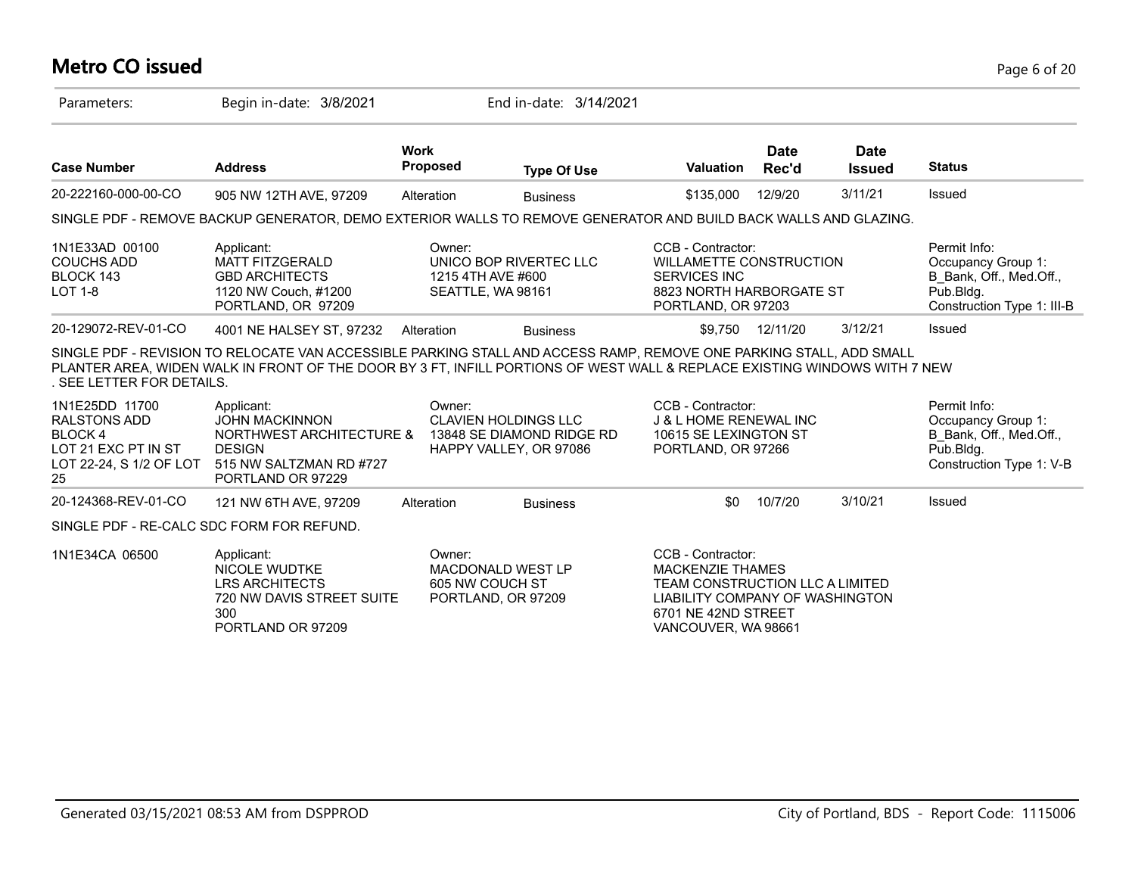# **Metro CO issued** Page 6 of 20

| Parameters:                                                                                                    | Begin in-date: 3/8/2021                                                                                                                                                                                                                          |                                                  | End in-date: 3/14/2021                                                             |                                                                                                                                                                  |                      |                              |                                                                                                          |
|----------------------------------------------------------------------------------------------------------------|--------------------------------------------------------------------------------------------------------------------------------------------------------------------------------------------------------------------------------------------------|--------------------------------------------------|------------------------------------------------------------------------------------|------------------------------------------------------------------------------------------------------------------------------------------------------------------|----------------------|------------------------------|----------------------------------------------------------------------------------------------------------|
| <b>Case Number</b>                                                                                             | <b>Address</b>                                                                                                                                                                                                                                   | <b>Work</b><br><b>Proposed</b>                   | <b>Type Of Use</b>                                                                 | <b>Valuation</b>                                                                                                                                                 | <b>Date</b><br>Rec'd | <b>Date</b><br><b>Issued</b> | <b>Status</b>                                                                                            |
| 20-222160-000-00-CO                                                                                            | 905 NW 12TH AVE, 97209                                                                                                                                                                                                                           | Alteration                                       | <b>Business</b>                                                                    | \$135,000                                                                                                                                                        | 12/9/20              | 3/11/21                      | Issued                                                                                                   |
|                                                                                                                | SINGLE PDF - REMOVE BACKUP GENERATOR, DEMO EXTERIOR WALLS TO REMOVE GENERATOR AND BUILD BACK WALLS AND GLAZING.                                                                                                                                  |                                                  |                                                                                    |                                                                                                                                                                  |                      |                              |                                                                                                          |
| 1N1E33AD 00100<br><b>COUCHS ADD</b><br>BLOCK 143<br><b>LOT 1-8</b>                                             | Applicant:<br><b>MATT FITZGERALD</b><br><b>GBD ARCHITECTS</b><br>1120 NW Couch, #1200<br>PORTLAND, OR 97209                                                                                                                                      | Owner:<br>1215 4TH AVE #600<br>SEATTLE, WA 98161 | UNICO BOP RIVERTEC LLC                                                             | CCB - Contractor:<br><b>WILLAMETTE CONSTRUCTION</b><br><b>SERVICES INC</b><br>8823 NORTH HARBORGATE ST<br>PORTLAND, OR 97203                                     |                      |                              | Permit Info:<br>Occupancy Group 1:<br>B Bank, Off., Med.Off.,<br>Pub.Bldg.<br>Construction Type 1: III-B |
| 20-129072-REV-01-CO                                                                                            | 4001 NE HALSEY ST, 97232                                                                                                                                                                                                                         | Alteration                                       | <b>Business</b>                                                                    | \$9,750                                                                                                                                                          | 12/11/20             | 3/12/21                      | Issued                                                                                                   |
| . SEE LETTER FOR DETAILS.                                                                                      | SINGLE PDF - REVISION TO RELOCATE VAN ACCESSIBLE PARKING STALL AND ACCESS RAMP, REMOVE ONE PARKING STALL, ADD SMALL<br>PLANTER AREA, WIDEN WALK IN FRONT OF THE DOOR BY 3 FT, INFILL PORTIONS OF WEST WALL & REPLACE EXISTING WINDOWS WITH 7 NEW |                                                  |                                                                                    |                                                                                                                                                                  |                      |                              |                                                                                                          |
| 1N1E25DD 11700<br><b>RALSTONS ADD</b><br><b>BLOCK4</b><br>LOT 21 EXC PT IN ST<br>LOT 22-24, S 1/2 OF LOT<br>25 | Applicant:<br><b>JOHN MACKINNON</b><br>NORTHWEST ARCHITECTURE &<br><b>DESIGN</b><br>515 NW SALTZMAN RD #727<br>PORTLAND OR 97229                                                                                                                 | Owner:                                           | <b>CLAVIEN HOLDINGS LLC</b><br>13848 SE DIAMOND RIDGE RD<br>HAPPY VALLEY, OR 97086 | CCB - Contractor:<br><b>J &amp; L HOME RENEWAL INC</b><br>10615 SE LEXINGTON ST<br>PORTLAND, OR 97266                                                            |                      |                              | Permit Info:<br>Occupancy Group 1:<br>B Bank, Off., Med.Off.,<br>Pub.Bldg.<br>Construction Type 1: V-B   |
| 20-124368-REV-01-CO                                                                                            | 121 NW 6TH AVE, 97209                                                                                                                                                                                                                            | Alteration                                       | <b>Business</b>                                                                    | \$0                                                                                                                                                              | 10/7/20              | 3/10/21                      | Issued                                                                                                   |
| SINGLE PDF - RE-CALC SDC FORM FOR REFUND.                                                                      |                                                                                                                                                                                                                                                  |                                                  |                                                                                    |                                                                                                                                                                  |                      |                              |                                                                                                          |
| 1N1E34CA 06500                                                                                                 | Applicant:<br><b>NICOLE WUDTKE</b><br><b>LRS ARCHITECTS</b><br>720 NW DAVIS STREET SUITE<br>300<br>PORTLAND OR 97209                                                                                                                             | Owner:<br>605 NW COUCH ST<br>PORTLAND, OR 97209  | <b>MACDONALD WEST LP</b>                                                           | CCB - Contractor:<br><b>MACKENZIE THAMES</b><br>TEAM CONSTRUCTION LLC A LIMITED<br>LIABILITY COMPANY OF WASHINGTON<br>6701 NE 42ND STREET<br>VANCOUVER, WA 98661 |                      |                              |                                                                                                          |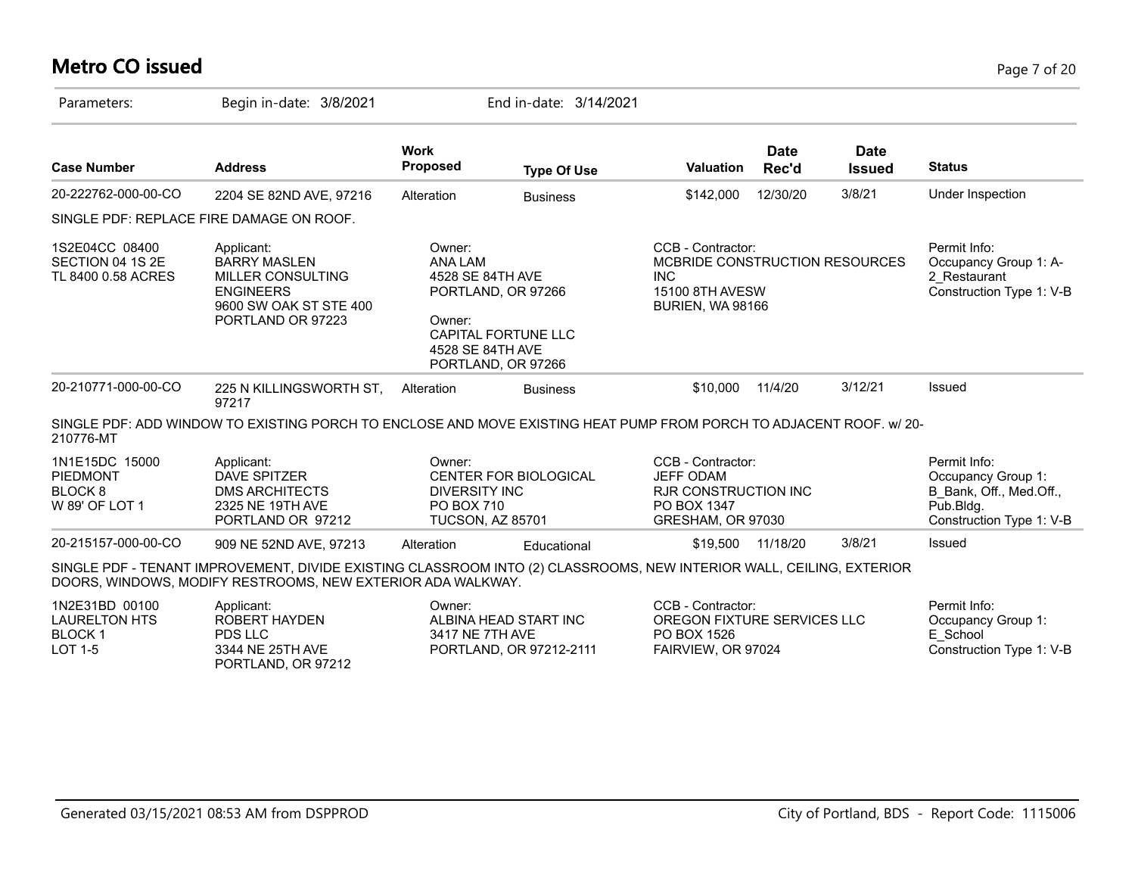# **Metro CO issued** Page 7 of 20

| Parameters:                                                               | Begin in-date: 3/8/2021                                                                                                                                                             |                                                                            | End in-date: 3/14/2021                                                 |                                                                                                          |                      |                              |                                                                                                           |
|---------------------------------------------------------------------------|-------------------------------------------------------------------------------------------------------------------------------------------------------------------------------------|----------------------------------------------------------------------------|------------------------------------------------------------------------|----------------------------------------------------------------------------------------------------------|----------------------|------------------------------|-----------------------------------------------------------------------------------------------------------|
| <b>Case Number</b>                                                        | <b>Address</b>                                                                                                                                                                      | <b>Work</b><br>Proposed                                                    | <b>Type Of Use</b>                                                     | <b>Valuation</b>                                                                                         | <b>Date</b><br>Rec'd | <b>Date</b><br><b>Issued</b> | <b>Status</b>                                                                                             |
| 20-222762-000-00-CO                                                       | 2204 SE 82ND AVE, 97216                                                                                                                                                             | Alteration                                                                 | <b>Business</b>                                                        | \$142,000                                                                                                | 12/30/20             | 3/8/21                       | Under Inspection                                                                                          |
|                                                                           | SINGLE PDF: REPLACE FIRE DAMAGE ON ROOF.                                                                                                                                            |                                                                            |                                                                        |                                                                                                          |                      |                              |                                                                                                           |
| 1S2E04CC 08400<br>SECTION 04 1S 2E<br>TL 8400 0.58 ACRES                  | Applicant:<br><b>BARRY MASLEN</b><br>MILLER CONSULTING<br><b>ENGINEERS</b><br>9600 SW OAK ST STE 400<br>PORTLAND OR 97223                                                           | Owner:<br><b>ANA LAM</b><br>4528 SE 84TH AVE<br>Owner:<br>4528 SE 84TH AVE | PORTLAND, OR 97266<br><b>CAPITAL FORTUNE LLC</b><br>PORTLAND, OR 97266 | CCB - Contractor:<br>MCBRIDE CONSTRUCTION RESOURCES<br><b>INC</b><br>15100 8TH AVESW<br>BURIEN, WA 98166 |                      |                              | Permit Info:<br>Occupancy Group 1: A-<br>2 Restaurant<br>Construction Type 1: V-B                         |
| 20-210771-000-00-CO                                                       | 225 N KILLINGSWORTH ST,<br>97217                                                                                                                                                    | Alteration                                                                 | <b>Business</b>                                                        | \$10,000                                                                                                 | 11/4/20              | 3/12/21                      | Issued                                                                                                    |
| 210776-MT                                                                 | SINGLE PDF: ADD WINDOW TO EXISTING PORCH TO ENCLOSE AND MOVE EXISTING HEAT PUMP FROM PORCH TO ADJACENT ROOF. w/ 20-                                                                 |                                                                            |                                                                        |                                                                                                          |                      |                              |                                                                                                           |
| 1N1E15DC 15000<br><b>PIEDMONT</b><br>BLOCK <sub>8</sub><br>W 89' OF LOT 1 | Applicant:<br><b>DAVE SPITZER</b><br><b>DMS ARCHITECTS</b><br>2325 NE 19TH AVE<br>PORTLAND OR 97212                                                                                 | Owner:<br><b>DIVERSITY INC</b><br>PO BOX 710<br><b>TUCSON, AZ 85701</b>    | <b>CENTER FOR BIOLOGICAL</b>                                           | CCB - Contractor:<br><b>JEFF ODAM</b><br><b>RJR CONSTRUCTION INC</b><br>PO BOX 1347<br>GRESHAM, OR 97030 |                      |                              | Permit Info:<br>Occupancy Group 1:<br>B Bank, Off., Med.Off.,<br>$P$ ub.Bldg.<br>Construction Type 1: V-B |
| 20-215157-000-00-CO                                                       | 909 NE 52ND AVE, 97213                                                                                                                                                              | Alteration                                                                 | Educational                                                            | \$19,500                                                                                                 | 11/18/20             | 3/8/21                       | Issued                                                                                                    |
|                                                                           | SINGLE PDF - TENANT IMPROVEMENT, DIVIDE EXISTING CLASSROOM INTO (2) CLASSROOMS, NEW INTERIOR WALL, CEILING, EXTERIOR<br>DOORS, WINDOWS, MODIFY RESTROOMS, NEW EXTERIOR ADA WALKWAY. |                                                                            |                                                                        |                                                                                                          |                      |                              |                                                                                                           |
| 1N2E31BD 00100<br><b>LAURELTON HTS</b><br><b>BLOCK1</b><br>LOT 1-5        | Applicant:<br>ROBERT HAYDEN<br>PDS LLC<br>3344 NE 25TH AVE<br>PORTLAND, OR 97212                                                                                                    | Owner:<br>3417 NE 7TH AVE                                                  | ALBINA HEAD START INC<br>PORTLAND, OR 97212-2111                       | CCB - Contractor:<br>OREGON FIXTURE SERVICES LLC<br>PO BOX 1526<br>FAIRVIEW, OR 97024                    |                      |                              | Permit Info:<br>Occupancy Group 1:<br>E School<br>Construction Type 1: V-B                                |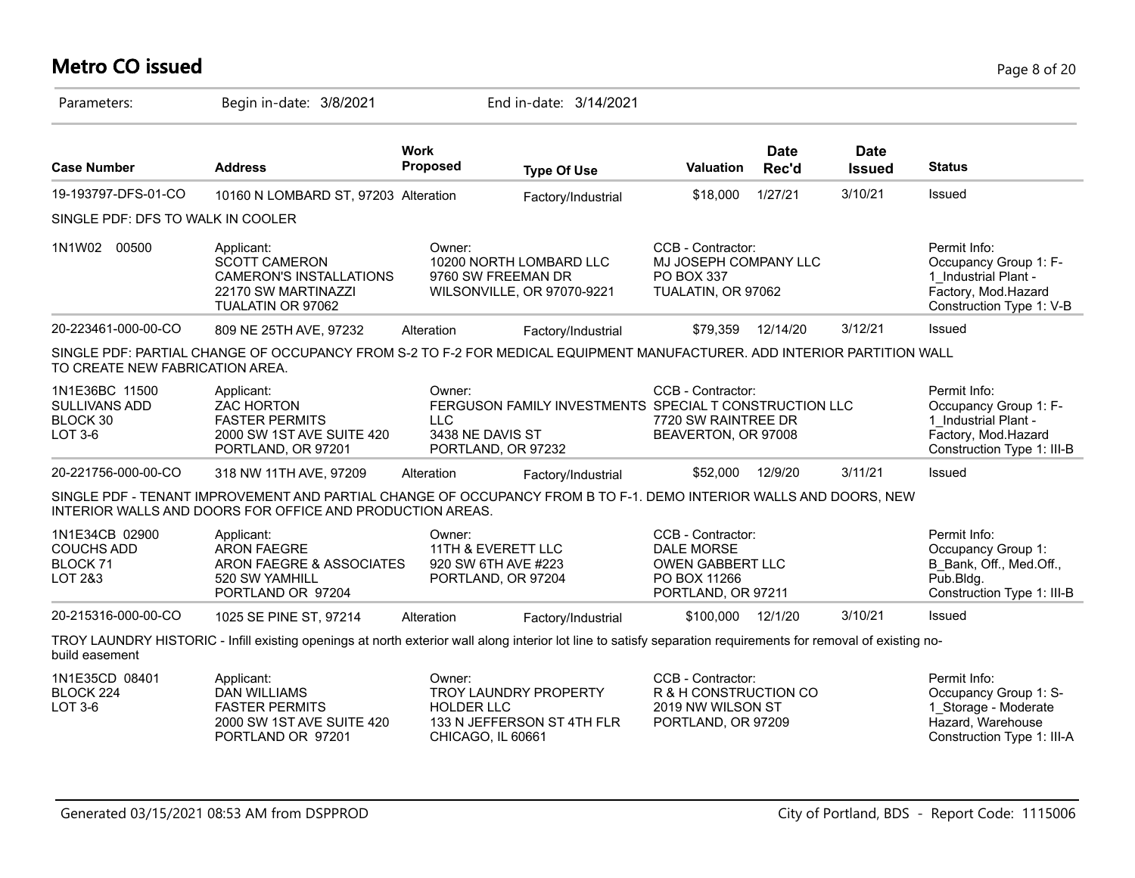# **Metro CO issued** Page 8 of 20

| Parameters:                                                | Begin in-date: 3/8/2021                                                                                                                                                        |                                                                           | End in-date: 3/14/2021                                 |                                                                                                         |                      |                       |                                                                                                                    |
|------------------------------------------------------------|--------------------------------------------------------------------------------------------------------------------------------------------------------------------------------|---------------------------------------------------------------------------|--------------------------------------------------------|---------------------------------------------------------------------------------------------------------|----------------------|-----------------------|--------------------------------------------------------------------------------------------------------------------|
| <b>Case Number</b>                                         | <b>Address</b>                                                                                                                                                                 | <b>Work</b><br><b>Proposed</b>                                            | <b>Type Of Use</b>                                     | Valuation                                                                                               | <b>Date</b><br>Rec'd | Date<br><b>Issued</b> | <b>Status</b>                                                                                                      |
| 19-193797-DFS-01-CO                                        | 10160 N LOMBARD ST, 97203 Alteration                                                                                                                                           |                                                                           | Factory/Industrial                                     | \$18,000                                                                                                | 1/27/21              | 3/10/21               | Issued                                                                                                             |
| SINGLE PDF: DFS TO WALK IN COOLER                          |                                                                                                                                                                                |                                                                           |                                                        |                                                                                                         |                      |                       |                                                                                                                    |
| 1N1W02<br>00500                                            | Applicant:<br><b>SCOTT CAMERON</b><br><b>CAMERON'S INSTALLATIONS</b><br>22170 SW MARTINAZZI<br>TUALATIN OR 97062                                                               | Owner:<br>9760 SW FREEMAN DR                                              | 10200 NORTH LOMBARD LLC<br>WILSONVILLE, OR 97070-9221  | CCB - Contractor:<br>MJ JOSEPH COMPANY LLC<br><b>PO BOX 337</b><br>TUALATIN, OR 97062                   |                      |                       | Permit Info:<br>Occupancy Group 1: F-<br>1 Industrial Plant -<br>Factory, Mod.Hazard<br>Construction Type 1: V-B   |
| 20-223461-000-00-CO                                        | 809 NE 25TH AVE, 97232                                                                                                                                                         | Alteration                                                                | Factory/Industrial                                     | \$79.359                                                                                                | 12/14/20             | 3/12/21               | Issued                                                                                                             |
| TO CREATE NEW FABRICATION AREA.                            | SINGLE PDF: PARTIAL CHANGE OF OCCUPANCY FROM S-2 TO F-2 FOR MEDICAL EQUIPMENT MANUFACTURER. ADD INTERIOR PARTITION WALL                                                        |                                                                           |                                                        |                                                                                                         |                      |                       |                                                                                                                    |
| 1N1E36BC 11500<br>SULLIVANS ADD<br>BLOCK 30<br>LOT 3-6     | Applicant:<br><b>ZAC HORTON</b><br><b>FASTER PERMITS</b><br>2000 SW 1ST AVE SUITE 420<br>PORTLAND, OR 97201                                                                    | Owner:<br>LLC.<br>3438 NE DAVIS ST<br>PORTLAND, OR 97232                  | FERGUSON FAMILY INVESTMENTS SPECIAL T CONSTRUCTION LLC | CCB - Contractor:<br>7720 SW RAINTREE DR<br>BEAVERTON, OR 97008                                         |                      |                       | Permit Info:<br>Occupancy Group 1: F-<br>1 Industrial Plant -<br>Factory, Mod.Hazard<br>Construction Type 1: III-B |
| 20-221756-000-00-CO                                        | 318 NW 11TH AVE, 97209                                                                                                                                                         | Alteration                                                                | Factory/Industrial                                     | \$52,000                                                                                                | 12/9/20              | 3/11/21               | Issued                                                                                                             |
|                                                            | SINGLE PDF - TENANT IMPROVEMENT AND PARTIAL CHANGE OF OCCUPANCY FROM B TO F-1. DEMO INTERIOR WALLS AND DOORS, NEW<br>INTERIOR WALLS AND DOORS FOR OFFICE AND PRODUCTION AREAS. |                                                                           |                                                        |                                                                                                         |                      |                       |                                                                                                                    |
| 1N1E34CB 02900<br><b>COUCHS ADD</b><br>BLOCK 71<br>LOT 2&3 | Applicant:<br><b>ARON FAEGRE</b><br>ARON FAEGRE & ASSOCIATES<br>520 SW YAMHILL<br>PORTLAND OR 97204                                                                            | Owner:<br>11TH & EVERETT LLC<br>920 SW 6TH AVE #223<br>PORTLAND, OR 97204 |                                                        | CCB - Contractor:<br><b>DALE MORSE</b><br><b>OWEN GABBERT LLC</b><br>PO BOX 11266<br>PORTLAND, OR 97211 |                      |                       | Permit Info:<br>Occupancy Group 1:<br>B_Bank, Off., Med.Off.,<br>Pub.Bldg.<br>Construction Type 1: III-B           |
| 20-215316-000-00-CO                                        | 1025 SE PINE ST, 97214                                                                                                                                                         | Alteration                                                                | Factory/Industrial                                     | \$100,000                                                                                               | 12/1/20              | 3/10/21               | Issued                                                                                                             |
| build easement                                             | TROY LAUNDRY HISTORIC - Infill existing openings at north exterior wall along interior lot line to satisfy separation requirements for removal of existing no-                 |                                                                           |                                                        |                                                                                                         |                      |                       |                                                                                                                    |
| 1N1E35CD 08401<br>BLOCK 224<br><b>LOT 3-6</b>              | Applicant:<br><b>DAN WILLIAMS</b><br><b>FASTER PERMITS</b><br>2000 SW 1ST AVE SUITE 420<br>PORTLAND OR 97201                                                                   | Owner:<br><b>HOLDER LLC</b><br>CHICAGO, IL 60661                          | TROY LAUNDRY PROPERTY<br>133 N JEFFERSON ST 4TH FLR    | CCB - Contractor:<br>R & H CONSTRUCTION CO<br>2019 NW WILSON ST<br>PORTLAND, OR 97209                   |                      |                       | Permit Info:<br>Occupancy Group 1: S-<br>1 Storage - Moderate<br>Hazard, Warehouse<br>Construction Type 1: III-A   |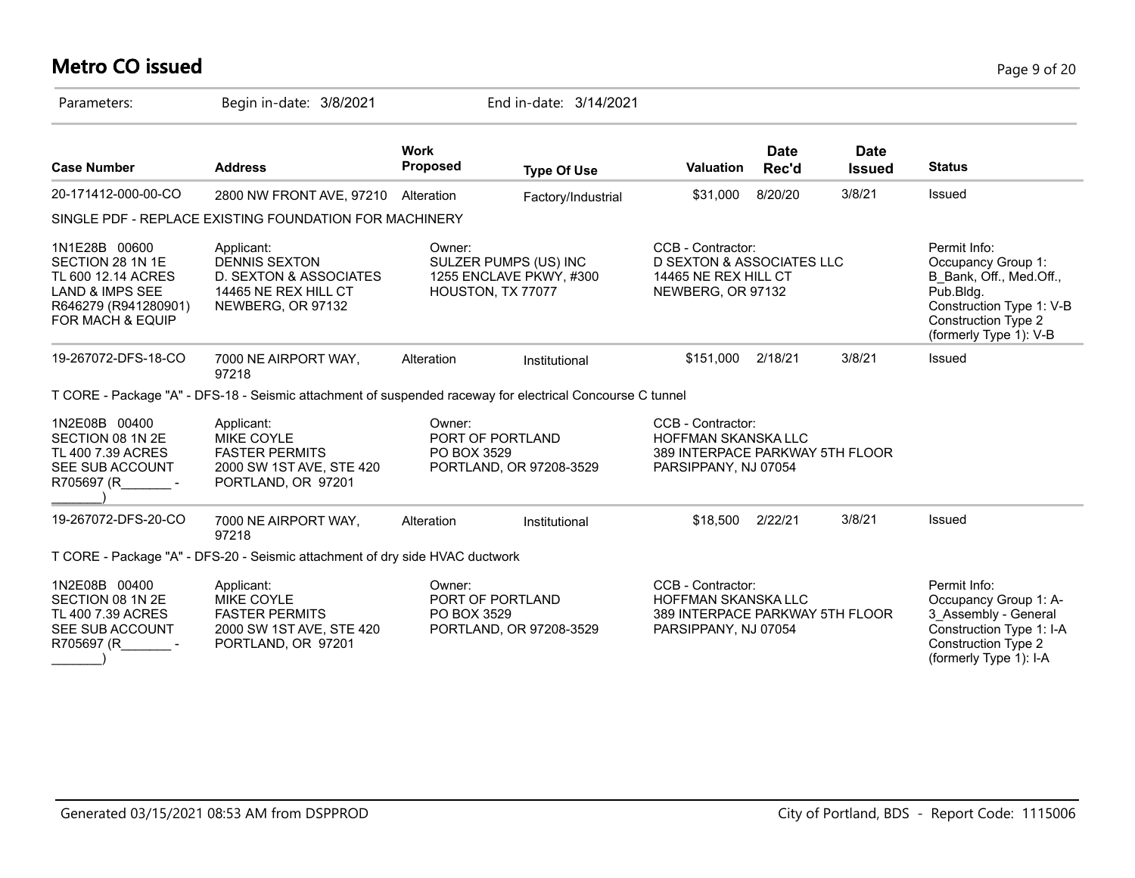# **Metro CO issued** Page 9 of 20

| Parameters:                                                                                                                       | Begin in-date: 3/8/2021                                                                                    |                                | End in-date: 3/14/2021                                                |                                                                                                            |                      |                              |                                                                                                                                                                |
|-----------------------------------------------------------------------------------------------------------------------------------|------------------------------------------------------------------------------------------------------------|--------------------------------|-----------------------------------------------------------------------|------------------------------------------------------------------------------------------------------------|----------------------|------------------------------|----------------------------------------------------------------------------------------------------------------------------------------------------------------|
| <b>Case Number</b>                                                                                                                | <b>Address</b>                                                                                             | <b>Work</b><br><b>Proposed</b> | <b>Type Of Use</b>                                                    | <b>Valuation</b>                                                                                           | <b>Date</b><br>Rec'd | <b>Date</b><br><b>Issued</b> | <b>Status</b>                                                                                                                                                  |
| 20-171412-000-00-CO                                                                                                               | 2800 NW FRONT AVE, 97210 Alteration                                                                        |                                | Factory/Industrial                                                    | \$31,000                                                                                                   | 8/20/20              | 3/8/21                       | Issued                                                                                                                                                         |
|                                                                                                                                   | SINGLE PDF - REPLACE EXISTING FOUNDATION FOR MACHINERY                                                     |                                |                                                                       |                                                                                                            |                      |                              |                                                                                                                                                                |
| 1N1E28B 00600<br>SECTION 28 1N 1E<br>TL 600 12.14 ACRES<br><b>LAND &amp; IMPS SEE</b><br>R646279 (R941280901)<br>FOR MACH & EQUIP | Applicant:<br><b>DENNIS SEXTON</b><br>D. SEXTON & ASSOCIATES<br>14465 NE REX HILL CT<br>NEWBERG, OR 97132  | Owner:                         | SULZER PUMPS (US) INC<br>1255 ENCLAVE PKWY, #300<br>HOUSTON, TX 77077 | CCB - Contractor:<br>D SEXTON & ASSOCIATES LLC<br>14465 NE REX HILL CT<br>NEWBERG, OR 97132                |                      |                              | Permit Info:<br>Occupancy Group 1:<br>B Bank, Off., Med.Off.,<br>Pub.Bldg.<br>Construction Type 1: V-B<br><b>Construction Type 2</b><br>(formerly Type 1): V-B |
| 19-267072-DFS-18-CO                                                                                                               | 7000 NE AIRPORT WAY,<br>97218                                                                              | Alteration                     | Institutional                                                         | \$151,000                                                                                                  | 2/18/21              | 3/8/21                       | Issued                                                                                                                                                         |
|                                                                                                                                   | T CORE - Package "A" - DFS-18 - Seismic attachment of suspended raceway for electrical Concourse C tunnel  |                                |                                                                       |                                                                                                            |                      |                              |                                                                                                                                                                |
| 1N2E08B 00400<br>SECTION 08 1N 2E<br>TL 400 7.39 ACRES<br>SEE SUB ACCOUNT<br>R705697 (R                                           | Applicant:<br><b>MIKE COYLE</b><br><b>FASTER PERMITS</b><br>2000 SW 1ST AVE, STE 420<br>PORTLAND, OR 97201 | Owner:<br>PO BOX 3529          | PORT OF PORTLAND<br>PORTLAND, OR 97208-3529                           | CCB - Contractor:<br>HOFFMAN SKANSKA LLC<br>389 INTERPACE PARKWAY 5TH FLOOR<br>PARSIPPANY, NJ 07054        |                      |                              |                                                                                                                                                                |
| 19-267072-DFS-20-CO                                                                                                               | 7000 NE AIRPORT WAY,<br>97218                                                                              | Alteration                     | Institutional                                                         | \$18,500                                                                                                   | 2/22/21              | 3/8/21                       | Issued                                                                                                                                                         |
|                                                                                                                                   | T CORE - Package "A" - DFS-20 - Seismic attachment of dry side HVAC ductwork                               |                                |                                                                       |                                                                                                            |                      |                              |                                                                                                                                                                |
| 1N2E08B 00400<br>SECTION 08 1N 2E<br>TL 400 7.39 ACRES<br>SEE SUB ACCOUNT<br>R705697 (R                                           | Applicant:<br><b>MIKE COYLE</b><br><b>FASTER PERMITS</b><br>2000 SW 1ST AVE, STE 420<br>PORTLAND, OR 97201 | Owner:<br>PO BOX 3529          | PORT OF PORTLAND<br>PORTLAND, OR 97208-3529                           | CCB - Contractor:<br><b>HOFFMAN SKANSKA LLC</b><br>389 INTERPACE PARKWAY 5TH FLOOR<br>PARSIPPANY, NJ 07054 |                      |                              | Permit Info:<br>Occupancy Group 1: A-<br>3_Assembly - General<br>Construction Type 1: I-A<br><b>Construction Type 2</b><br>(formerly Type 1): I-A              |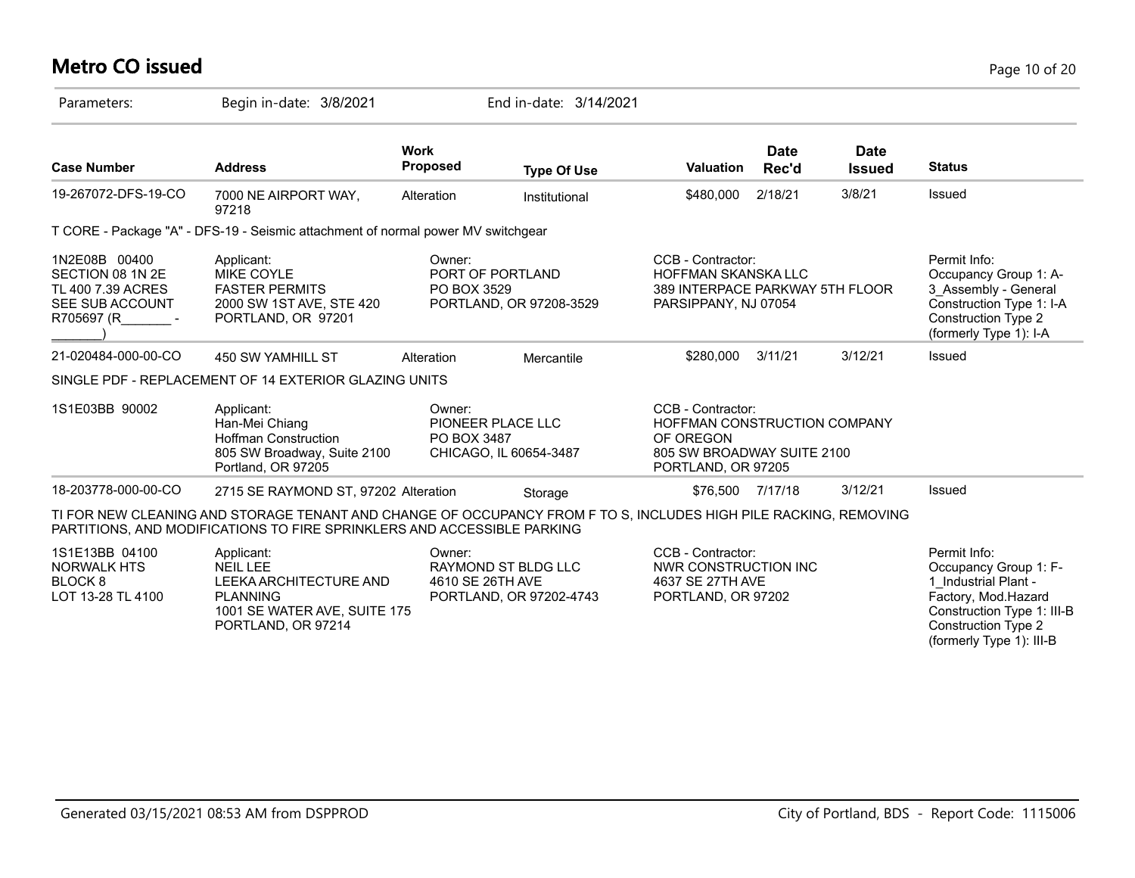# **Metro CO issued** Page 10 of 20

| Parameters:                                                                               | Begin in-date: 3/8/2021                                                                                                                                                                     |                            | End in-date: 3/14/2021                         |                                                                                                                    |                      |                              |                                                                                                                                                                              |
|-------------------------------------------------------------------------------------------|---------------------------------------------------------------------------------------------------------------------------------------------------------------------------------------------|----------------------------|------------------------------------------------|--------------------------------------------------------------------------------------------------------------------|----------------------|------------------------------|------------------------------------------------------------------------------------------------------------------------------------------------------------------------------|
| <b>Case Number</b>                                                                        | <b>Address</b>                                                                                                                                                                              | Work<br>Proposed           | <b>Type Of Use</b>                             | <b>Valuation</b>                                                                                                   | <b>Date</b><br>Rec'd | <b>Date</b><br><b>Issued</b> | <b>Status</b>                                                                                                                                                                |
| 19-267072-DFS-19-CO                                                                       | 7000 NE AIRPORT WAY,<br>97218                                                                                                                                                               | Alteration                 | Institutional                                  | \$480,000                                                                                                          | 2/18/21              | 3/8/21                       | Issued                                                                                                                                                                       |
|                                                                                           | T CORE - Package "A" - DFS-19 - Seismic attachment of normal power MV switchgear                                                                                                            |                            |                                                |                                                                                                                    |                      |                              |                                                                                                                                                                              |
| 1N2E08B 00400<br>SECTION 08 1N 2E<br>TL 400 7.39 ACRES<br>SEE SUB ACCOUNT<br>R705697 (R - | Applicant:<br><b>MIKE COYLE</b><br><b>FASTER PERMITS</b><br>2000 SW 1ST AVE, STE 420<br>PORTLAND, OR 97201                                                                                  | Owner:<br>PO BOX 3529      | PORT OF PORTLAND<br>PORTLAND, OR 97208-3529    | CCB - Contractor:<br><b>HOFFMAN SKANSKA LLC</b><br>389 INTERPACE PARKWAY 5TH FLOOR<br>PARSIPPANY, NJ 07054         |                      |                              | Permit Info:<br>Occupancy Group 1: A-<br>3 Assembly - General<br>Construction Type 1: I-A<br><b>Construction Type 2</b><br>(formerly Type 1): I-A                            |
| 21-020484-000-00-CO                                                                       | 450 SW YAMHILL ST                                                                                                                                                                           | Alteration                 | Mercantile                                     | \$280,000                                                                                                          | 3/11/21              | 3/12/21                      | Issued                                                                                                                                                                       |
|                                                                                           | SINGLE PDF - REPLACEMENT OF 14 EXTERIOR GLAZING UNITS                                                                                                                                       |                            |                                                |                                                                                                                    |                      |                              |                                                                                                                                                                              |
| 1S1E03BB 90002                                                                            | Applicant:<br>Han-Mei Chiang<br><b>Hoffman Construction</b><br>805 SW Broadway, Suite 2100<br>Portland, OR 97205                                                                            | Owner:<br>PO BOX 3487      | PIONEER PLACE LLC<br>CHICAGO, IL 60654-3487    | CCB - Contractor:<br>HOFFMAN CONSTRUCTION COMPANY<br>OF OREGON<br>805 SW BROADWAY SUITE 2100<br>PORTLAND, OR 97205 |                      |                              |                                                                                                                                                                              |
| 18-203778-000-00-CO                                                                       | 2715 SE RAYMOND ST, 97202 Alteration                                                                                                                                                        |                            | Storage                                        | \$76,500 7/17/18                                                                                                   |                      | 3/12/21                      | Issued                                                                                                                                                                       |
|                                                                                           | TI FOR NEW CLEANING AND STORAGE TENANT AND CHANGE OF OCCUPANCY FROM F TO S, INCLUDES HIGH PILE RACKING, REMOVING<br>PARTITIONS, AND MODIFICATIONS TO FIRE SPRINKLERS AND ACCESSIBLE PARKING |                            |                                                |                                                                                                                    |                      |                              |                                                                                                                                                                              |
| 1S1E13BB 04100<br><b>NORWALK HTS</b><br><b>BLOCK 8</b><br>LOT 13-28 TL 4100               | Applicant:<br><b>NEIL LEE</b><br>LEEKA ARCHITECTURE AND<br><b>PLANNING</b><br>1001 SE WATER AVE, SUITE 175<br>PORTLAND, OR 97214                                                            | Owner:<br>4610 SE 26TH AVE | RAYMOND ST BLDG LLC<br>PORTLAND, OR 97202-4743 | CCB - Contractor:<br><b>NWR CONSTRUCTION INC</b><br>4637 SE 27TH AVE<br>PORTLAND, OR 97202                         |                      |                              | Permit Info:<br>Occupancy Group 1: F-<br>1 Industrial Plant -<br>Factory, Mod.Hazard<br>Construction Type 1: III-B<br><b>Construction Type 2</b><br>(formerly Type 1): III-B |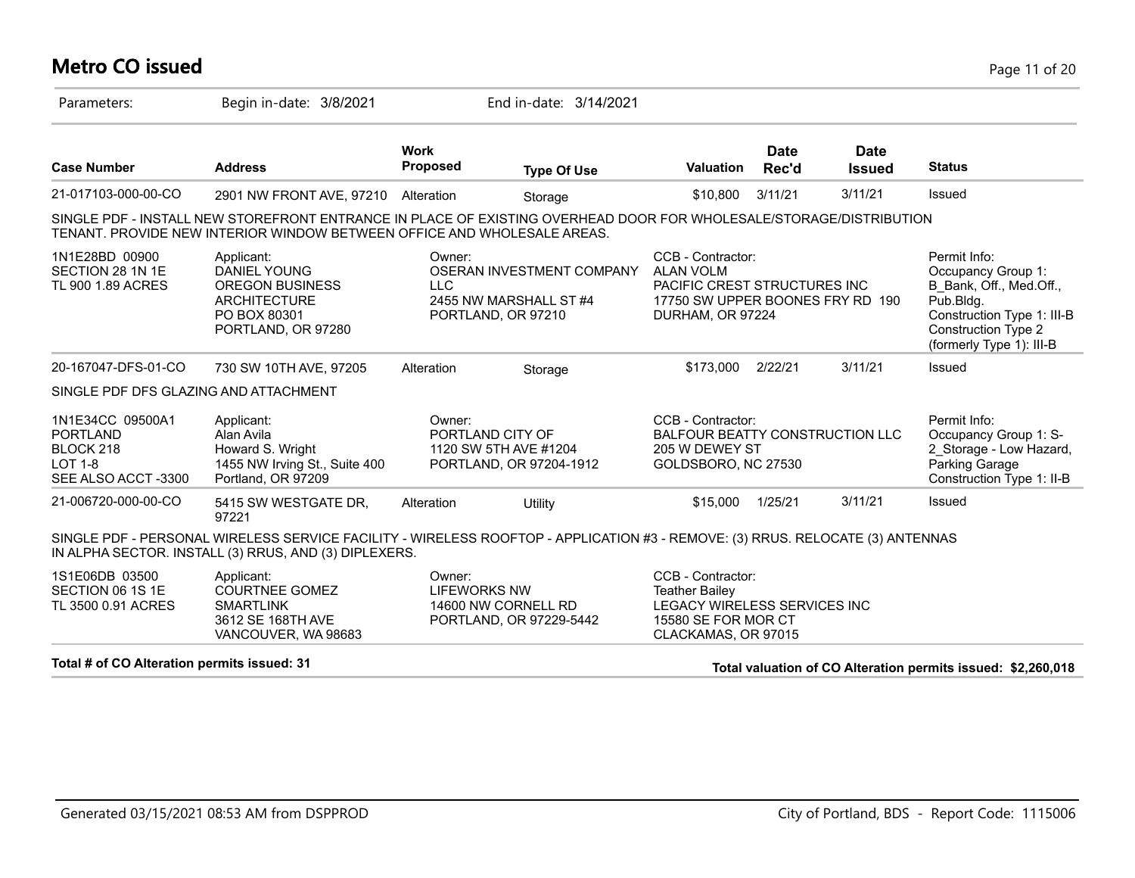# **Metro CO issued** Page 11 of 20

| Parameters:                                                                              | Begin in-date: 3/8/2021                                                                                                                                                                       |                                                      | End in-date: 3/14/2021                              |                                                                                                                               |                      |                              |                                                                                                                                                                    |
|------------------------------------------------------------------------------------------|-----------------------------------------------------------------------------------------------------------------------------------------------------------------------------------------------|------------------------------------------------------|-----------------------------------------------------|-------------------------------------------------------------------------------------------------------------------------------|----------------------|------------------------------|--------------------------------------------------------------------------------------------------------------------------------------------------------------------|
| <b>Case Number</b>                                                                       | <b>Address</b>                                                                                                                                                                                | <b>Work</b><br><b>Proposed</b>                       | <b>Type Of Use</b>                                  | <b>Valuation</b>                                                                                                              | <b>Date</b><br>Rec'd | <b>Date</b><br><b>Issued</b> | <b>Status</b>                                                                                                                                                      |
| 21-017103-000-00-CO                                                                      | 2901 NW FRONT AVE, 97210                                                                                                                                                                      | Alteration                                           | Storage                                             | \$10,800                                                                                                                      | 3/11/21              | 3/11/21                      | <b>Issued</b>                                                                                                                                                      |
|                                                                                          | SINGLE PDF - INSTALL NEW STOREFRONT ENTRANCE IN PLACE OF EXISTING OVERHEAD DOOR FOR WHOLESALE/STORAGE/DISTRIBUTION<br>TENANT. PROVIDE NEW INTERIOR WINDOW BETWEEN OFFICE AND WHOLESALE AREAS. |                                                      |                                                     |                                                                                                                               |                      |                              |                                                                                                                                                                    |
| 1N1E28BD 00900<br>SECTION 28 1N 1E<br>TL 900 1.89 ACRES                                  | Applicant:<br>DANIEL YOUNG<br>OREGON BUSINESS<br><b>ARCHITECTURE</b><br>PO BOX 80301<br>PORTLAND, OR 97280                                                                                    | Owner:<br><b>LLC</b><br>PORTLAND, OR 97210           | OSERAN INVESTMENT COMPANY<br>2455 NW MARSHALL ST #4 | CCB - Contractor:<br><b>ALAN VOLM</b><br>PACIFIC CREST STRUCTURES INC<br>17750 SW UPPER BOONES FRY RD 190<br>DURHAM, OR 97224 |                      |                              | Permit Info:<br>Occupancy Group 1:<br>B Bank, Off., Med.Off.,<br>Pub.Bldg.<br>Construction Type 1: III-B<br><b>Construction Type 2</b><br>(formerly Type 1): III-B |
| 20-167047-DFS-01-CO                                                                      | 730 SW 10TH AVE, 97205                                                                                                                                                                        | Alteration                                           | Storage                                             | \$173,000                                                                                                                     | 2/22/21              | 3/11/21                      | Issued                                                                                                                                                             |
| SINGLE PDF DFS GLAZING AND ATTACHMENT                                                    |                                                                                                                                                                                               |                                                      |                                                     |                                                                                                                               |                      |                              |                                                                                                                                                                    |
| 1N1E34CC 09500A1<br><b>PORTLAND</b><br>BLOCK 218<br><b>LOT 1-8</b><br>SEE ALSO ACCT-3300 | Applicant:<br>Alan Avila<br>Howard S. Wright<br>1455 NW Irving St., Suite 400<br>Portland, OR 97209                                                                                           | Owner:<br>PORTLAND CITY OF<br>1120 SW 5TH AVE #1204  | PORTLAND, OR 97204-1912                             | CCB - Contractor:<br><b>BALFOUR BEATTY CONSTRUCTION LLC</b><br>205 W DEWEY ST<br>GOLDSBORO, NC 27530                          |                      |                              | Permit Info:<br>Occupancy Group 1: S-<br>2 Storage - Low Hazard,<br>Parking Garage<br>Construction Type 1: II-B                                                    |
| 21-006720-000-00-CO                                                                      | 5415 SW WESTGATE DR,<br>97221                                                                                                                                                                 | Alteration                                           | Utility                                             | \$15,000                                                                                                                      | 1/25/21              | 3/11/21                      | Issued                                                                                                                                                             |
|                                                                                          | SINGLE PDF - PERSONAL WIRELESS SERVICE FACILITY - WIRELESS ROOFTOP - APPLICATION #3 - REMOVE: (3) RRUS. RELOCATE (3) ANTENNAS<br>IN ALPHA SECTOR. INSTALL (3) RRUS, AND (3) DIPLEXERS.        |                                                      |                                                     |                                                                                                                               |                      |                              |                                                                                                                                                                    |
| 1S1E06DB 03500<br>SECTION 06 1S 1E<br>TL 3500 0.91 ACRES                                 | Applicant:<br><b>COURTNEE GOMEZ</b><br><b>SMARTLINK</b><br>3612 SE 168TH AVE<br>VANCOUVER, WA 98683                                                                                           | Owner:<br><b>LIFEWORKS NW</b><br>14600 NW CORNELL RD | PORTLAND, OR 97229-5442                             | CCB - Contractor:<br><b>Teather Bailey</b><br>LEGACY WIRELESS SERVICES INC<br>15580 SE FOR MOR CT<br>CLACKAMAS, OR 97015      |                      |                              |                                                                                                                                                                    |
| Total # of CO Alteration permits issued: 31                                              |                                                                                                                                                                                               |                                                      |                                                     |                                                                                                                               |                      |                              | Total valuation of CO Alteration permits issued: \$2,260,018                                                                                                       |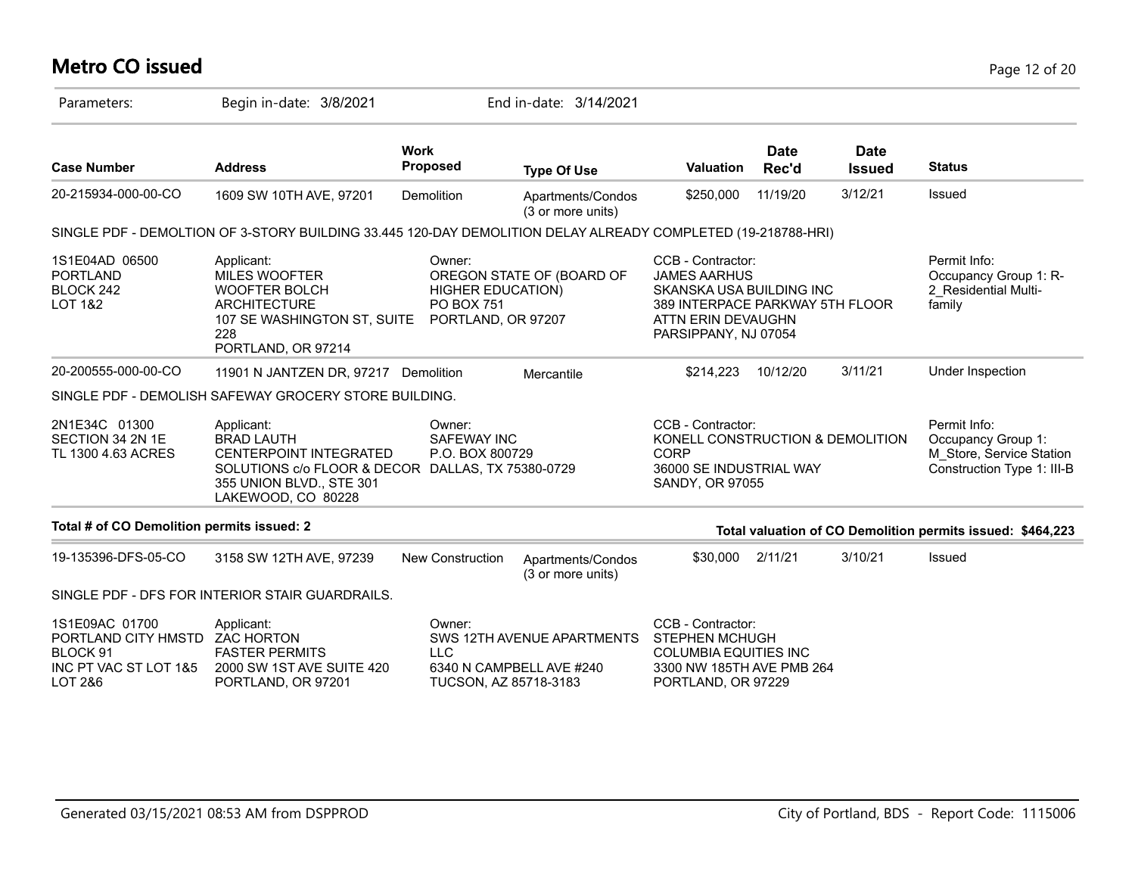# **Metro CO issued** Page 12 of 20

| Parameters:                                                                                      | Begin in-date: 3/8/2021                                                                                                                                                 |                                                                        | End in-date: 3/14/2021                                 |                                                                                                                                                       |                      |                              |                                                                                              |
|--------------------------------------------------------------------------------------------------|-------------------------------------------------------------------------------------------------------------------------------------------------------------------------|------------------------------------------------------------------------|--------------------------------------------------------|-------------------------------------------------------------------------------------------------------------------------------------------------------|----------------------|------------------------------|----------------------------------------------------------------------------------------------|
| <b>Case Number</b>                                                                               | <b>Address</b>                                                                                                                                                          | <b>Work</b><br><b>Proposed</b>                                         | <b>Type Of Use</b>                                     | <b>Valuation</b>                                                                                                                                      | <b>Date</b><br>Rec'd | <b>Date</b><br><b>Issued</b> | <b>Status</b>                                                                                |
| 20-215934-000-00-CO                                                                              | 1609 SW 10TH AVE, 97201                                                                                                                                                 | Demolition                                                             | Apartments/Condos<br>(3 or more units)                 | \$250,000                                                                                                                                             | 11/19/20             | 3/12/21                      | Issued                                                                                       |
|                                                                                                  | SINGLE PDF - DEMOLTION OF 3-STORY BUILDING 33.445 120-DAY DEMOLITION DELAY ALREADY COMPLETED (19-218788-HRI)                                                            |                                                                        |                                                        |                                                                                                                                                       |                      |                              |                                                                                              |
| 1S1E04AD 06500<br><b>PORTLAND</b><br>BLOCK 242<br>LOT 1&2                                        | Applicant:<br><b>MILES WOOFTER</b><br><b>WOOFTER BOLCH</b><br><b>ARCHITECTURE</b><br>107 SE WASHINGTON ST, SUITE<br>228<br>PORTLAND, OR 97214                           | Owner:<br><b>HIGHER EDUCATION)</b><br>PO BOX 751<br>PORTLAND, OR 97207 | OREGON STATE OF (BOARD OF                              | CCB - Contractor:<br><b>JAMES AARHUS</b><br>SKANSKA USA BUILDING INC<br>389 INTERPACE PARKWAY 5TH FLOOR<br>ATTN ERIN DEVAUGHN<br>PARSIPPANY, NJ 07054 |                      |                              | Permit Info:<br>Occupancy Group 1: R-<br>2 Residential Multi-<br>family                      |
| 20-200555-000-00-CO                                                                              | 11901 N JANTZEN DR, 97217 Demolition                                                                                                                                    |                                                                        | Mercantile                                             | \$214,223                                                                                                                                             | 10/12/20             | 3/11/21                      | Under Inspection                                                                             |
|                                                                                                  | SINGLE PDF - DEMOLISH SAFEWAY GROCERY STORE BUILDING.                                                                                                                   |                                                                        |                                                        |                                                                                                                                                       |                      |                              |                                                                                              |
| 2N1E34C 01300<br>SECTION 34 2N 1E<br>TL 1300 4.63 ACRES                                          | Applicant:<br><b>BRAD LAUTH</b><br><b>CENTERPOINT INTEGRATED</b><br>SOLUTIONS c/o FLOOR & DECOR DALLAS, TX 75380-0729<br>355 UNION BLVD., STE 301<br>LAKEWOOD, CO 80228 | Owner:<br><b>SAFEWAY INC</b><br>P.O. BOX 800729                        |                                                        | CCB - Contractor:<br>KONELL CONSTRUCTION & DEMOLITION<br><b>CORP</b><br>36000 SE INDUSTRIAL WAY<br>SANDY, OR 97055                                    |                      |                              | Permit Info:<br>Occupancy Group 1:<br>M Store, Service Station<br>Construction Type 1: III-B |
| Total # of CO Demolition permits issued: 2                                                       |                                                                                                                                                                         |                                                                        |                                                        |                                                                                                                                                       |                      |                              | Total valuation of CO Demolition permits issued: \$464,223                                   |
| 19-135396-DFS-05-CO                                                                              | 3158 SW 12TH AVE, 97239                                                                                                                                                 | <b>New Construction</b>                                                | Apartments/Condos<br>(3 or more units)                 | \$30,000                                                                                                                                              | 2/11/21              | 3/10/21                      | Issued                                                                                       |
|                                                                                                  | SINGLE PDF - DFS FOR INTERIOR STAIR GUARDRAILS.                                                                                                                         |                                                                        |                                                        |                                                                                                                                                       |                      |                              |                                                                                              |
| 1S1E09AC 01700<br>PORTLAND CITY HMSTD ZAC HORTON<br>BLOCK 91<br>INC PT VAC ST LOT 1&5<br>LOT 2&6 | Applicant:<br><b>FASTER PERMITS</b><br>2000 SW 1ST AVE SUITE 420<br>PORTLAND, OR 97201                                                                                  | Owner:<br><b>LLC</b><br>TUCSON, AZ 85718-3183                          | SWS 12TH AVENUE APARTMENTS<br>6340 N CAMPBELL AVE #240 | CCB - Contractor:<br><b>STEPHEN MCHUGH</b><br><b>COLUMBIA EQUITIES INC</b><br>3300 NW 185TH AVE PMB 264<br>PORTLAND, OR 97229                         |                      |                              |                                                                                              |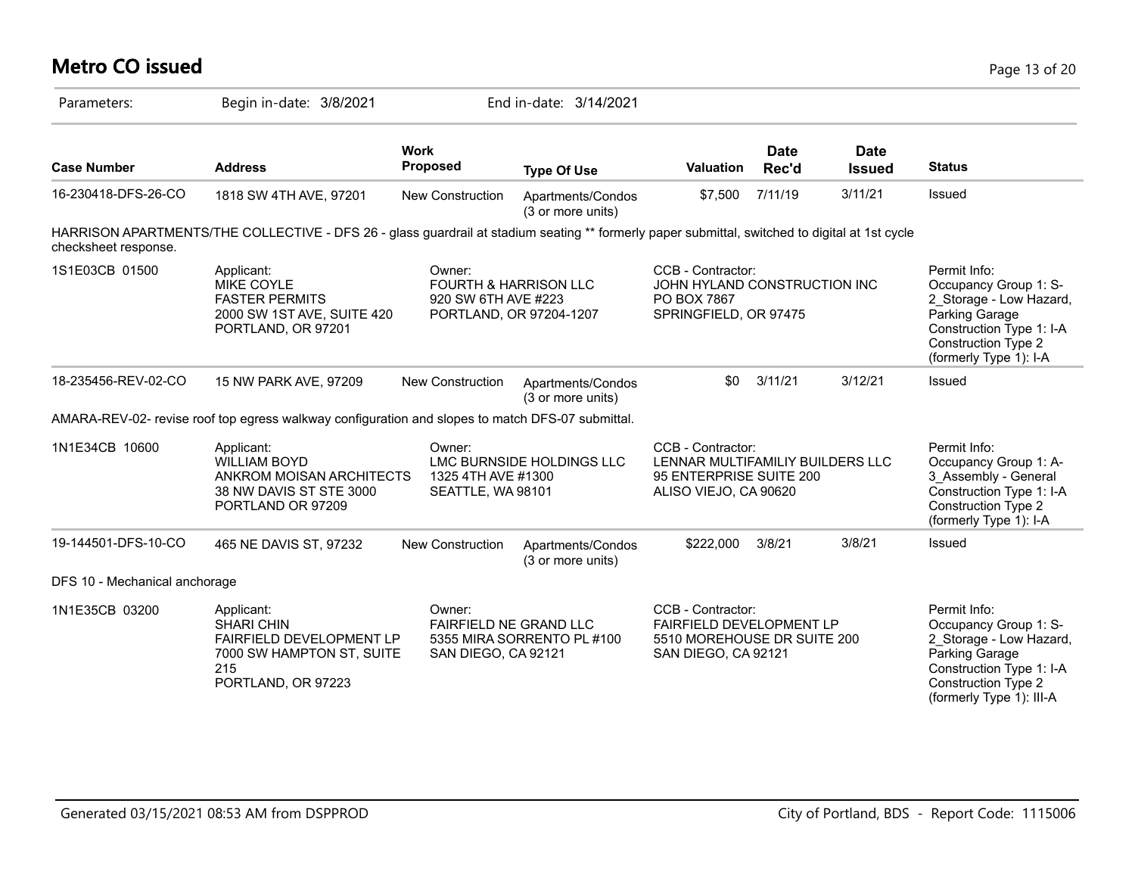# **Metro CO issued** Page 13 of 20

| Parameters:                   | Begin in-date: 3/8/2021                                                                                                                        |                                                                                              | End in-date: 3/14/2021                 |                                                                                                            |                      |                              |                                                                                                                                                                          |
|-------------------------------|------------------------------------------------------------------------------------------------------------------------------------------------|----------------------------------------------------------------------------------------------|----------------------------------------|------------------------------------------------------------------------------------------------------------|----------------------|------------------------------|--------------------------------------------------------------------------------------------------------------------------------------------------------------------------|
| <b>Case Number</b>            | <b>Address</b>                                                                                                                                 | <b>Work</b><br><b>Proposed</b>                                                               | <b>Type Of Use</b>                     | Valuation                                                                                                  | <b>Date</b><br>Rec'd | <b>Date</b><br><b>Issued</b> | <b>Status</b>                                                                                                                                                            |
| 16-230418-DFS-26-CO           | 1818 SW 4TH AVE, 97201                                                                                                                         | New Construction                                                                             | Apartments/Condos<br>(3 or more units) | \$7,500                                                                                                    | 7/11/19              | 3/11/21                      | Issued                                                                                                                                                                   |
| checksheet response.          | HARRISON APARTMENTS/THE COLLECTIVE - DFS 26 - glass guardrail at stadium seating ** formerly paper submittal, switched to digital at 1st cycle |                                                                                              |                                        |                                                                                                            |                      |                              |                                                                                                                                                                          |
| 1S1E03CB 01500                | Applicant:<br><b>MIKE COYLE</b><br><b>FASTER PERMITS</b><br>2000 SW 1ST AVE, SUITE 420<br>PORTLAND, OR 97201                                   | Owner:<br><b>FOURTH &amp; HARRISON LLC</b><br>920 SW 6TH AVE #223<br>PORTLAND, OR 97204-1207 |                                        | CCB - Contractor:<br>JOHN HYLAND CONSTRUCTION INC<br>PO BOX 7867<br>SPRINGFIELD, OR 97475                  |                      |                              | Permit Info:<br>Occupancy Group 1: S-<br>2 Storage - Low Hazard,<br>Parking Garage<br>Construction Type 1: I-A<br><b>Construction Type 2</b><br>(formerly Type 1): I-A   |
| 18-235456-REV-02-CO           | 15 NW PARK AVE, 97209                                                                                                                          | <b>New Construction</b>                                                                      | Apartments/Condos<br>(3 or more units) | \$0                                                                                                        | 3/11/21              | 3/12/21                      | <b>Issued</b>                                                                                                                                                            |
|                               | AMARA-REV-02- revise roof top egress walkway configuration and slopes to match DFS-07 submittal.                                               |                                                                                              |                                        |                                                                                                            |                      |                              |                                                                                                                                                                          |
| 1N1E34CB 10600                | Applicant:<br><b>WILLIAM BOYD</b><br>ANKROM MOISAN ARCHITECTS<br>38 NW DAVIS ST STE 3000<br>PORTLAND OR 97209                                  | Owner:<br>1325 4TH AVE #1300<br>SEATTLE, WA 98101                                            | LMC BURNSIDE HOLDINGS LLC              | CCB - Contractor:<br>LENNAR MULTIFAMILIY BUILDERS LLC<br>95 ENTERPRISE SUITE 200<br>ALISO VIEJO, CA 90620  |                      |                              | Permit Info:<br>Occupancy Group 1: A-<br>3_Assembly - General<br>Construction Type 1: I-A<br><b>Construction Type 2</b><br>(formerly Type 1): I-A                        |
| 19-144501-DFS-10-CO           | 465 NE DAVIS ST, 97232                                                                                                                         | <b>New Construction</b>                                                                      | Apartments/Condos<br>(3 or more units) | \$222,000                                                                                                  | 3/8/21               | 3/8/21                       | Issued                                                                                                                                                                   |
| DFS 10 - Mechanical anchorage |                                                                                                                                                |                                                                                              |                                        |                                                                                                            |                      |                              |                                                                                                                                                                          |
| 1N1E35CB 03200                | Applicant:<br><b>SHARI CHIN</b><br>FAIRFIELD DEVELOPMENT LP<br>7000 SW HAMPTON ST, SUITE<br>215<br>PORTLAND, OR 97223                          | Owner:<br>FAIRFIELD NE GRAND LLC<br>SAN DIEGO, CA 92121                                      | 5355 MIRA SORRENTO PL #100             | CCB - Contractor:<br><b>FAIRFIELD DEVELOPMENT LP</b><br>5510 MOREHOUSE DR SUITE 200<br>SAN DIEGO, CA 92121 |                      |                              | Permit Info:<br>Occupancy Group 1: S-<br>2 Storage - Low Hazard,<br>Parking Garage<br>Construction Type 1: I-A<br><b>Construction Type 2</b><br>(formerly Type 1): III-A |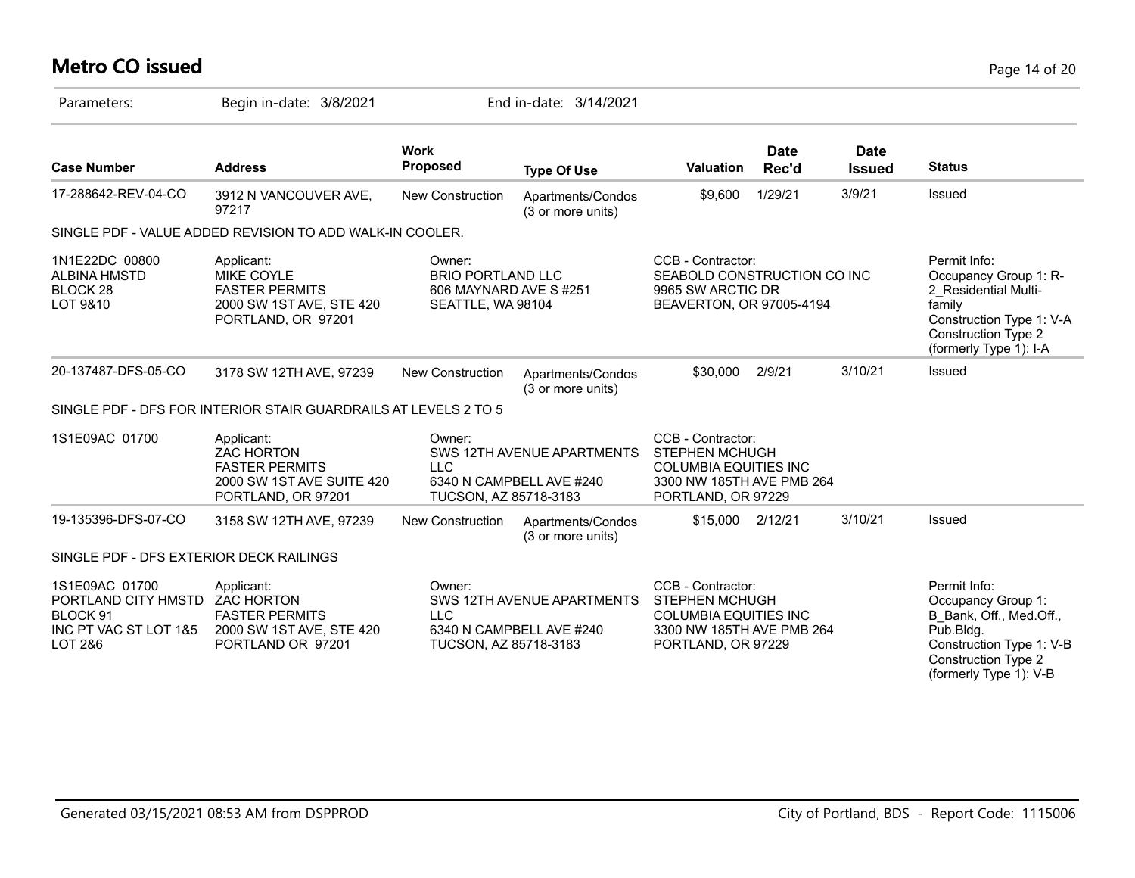# **Metro CO issued** Page 14 of 20

| Parameters:                                                                                                            | Begin in-date: 3/8/2021                                                                                     |                                                                                                         | End in-date: 3/14/2021                                 |                                                                                                                               |                      |                              |                                                                                                                                                                |
|------------------------------------------------------------------------------------------------------------------------|-------------------------------------------------------------------------------------------------------------|---------------------------------------------------------------------------------------------------------|--------------------------------------------------------|-------------------------------------------------------------------------------------------------------------------------------|----------------------|------------------------------|----------------------------------------------------------------------------------------------------------------------------------------------------------------|
| <b>Case Number</b>                                                                                                     | <b>Address</b>                                                                                              | <b>Work</b><br><b>Proposed</b>                                                                          | <b>Type Of Use</b>                                     | <b>Valuation</b>                                                                                                              | <b>Date</b><br>Rec'd | <b>Date</b><br><b>Issued</b> | <b>Status</b>                                                                                                                                                  |
| 17-288642-REV-04-CO                                                                                                    | 3912 N VANCOUVER AVE,<br>97217                                                                              | New Construction                                                                                        | Apartments/Condos<br>(3 or more units)                 | \$9,600                                                                                                                       | 1/29/21              | 3/9/21                       | Issued                                                                                                                                                         |
|                                                                                                                        | SINGLE PDF - VALUE ADDED REVISION TO ADD WALK-IN COOLER.                                                    |                                                                                                         |                                                        |                                                                                                                               |                      |                              |                                                                                                                                                                |
| 1N1E22DC 00800<br><b>ALBINA HMSTD</b><br><b>BLOCK 28</b><br>LOT 9&10                                                   | Applicant:<br><b>MIKE COYLE</b><br><b>FASTER PERMITS</b><br>2000 SW 1ST AVE, STE 420<br>PORTLAND, OR 97201  | Owner:<br><b>BRIO PORTLAND LLC</b><br>606 MAYNARD AVE S#251<br>SEATTLE, WA 98104                        |                                                        | CCB - Contractor:<br>SEABOLD CONSTRUCTION CO INC<br>9965 SW ARCTIC DR<br>BEAVERTON, OR 97005-4194                             |                      |                              | Permit Info:<br>Occupancy Group 1: R-<br>2 Residential Multi-<br>family<br>Construction Type 1: V-A<br>Construction Type 2<br>(formerly Type 1): I-A           |
| 20-137487-DFS-05-CO                                                                                                    | 3178 SW 12TH AVE, 97239                                                                                     | New Construction                                                                                        | Apartments/Condos<br>(3 or more units)                 | \$30,000                                                                                                                      | 2/9/21               | 3/10/21                      | Issued                                                                                                                                                         |
|                                                                                                                        | SINGLE PDF - DFS FOR INTERIOR STAIR GUARDRAILS AT LEVELS 2 TO 5                                             |                                                                                                         |                                                        |                                                                                                                               |                      |                              |                                                                                                                                                                |
| 1S1E09AC 01700                                                                                                         | Applicant:<br><b>ZAC HORTON</b><br><b>FASTER PERMITS</b><br>2000 SW 1ST AVE SUITE 420<br>PORTLAND, OR 97201 | Owner:<br>SWS 12TH AVENUE APARTMENTS<br><b>LLC</b><br>6340 N CAMPBELL AVE #240<br>TUCSON, AZ 85718-3183 |                                                        | CCB - Contractor:<br><b>STEPHEN MCHUGH</b><br><b>COLUMBIA EQUITIES INC</b><br>3300 NW 185TH AVE PMB 264<br>PORTLAND, OR 97229 |                      |                              |                                                                                                                                                                |
| 19-135396-DFS-07-CO                                                                                                    | 3158 SW 12TH AVE, 97239                                                                                     | <b>New Construction</b>                                                                                 | Apartments/Condos<br>(3 or more units)                 | \$15,000                                                                                                                      | 2/12/21              | 3/10/21                      | Issued                                                                                                                                                         |
| SINGLE PDF - DFS EXTERIOR DECK RAILINGS                                                                                |                                                                                                             |                                                                                                         |                                                        |                                                                                                                               |                      |                              |                                                                                                                                                                |
| 1S1E09AC 01700<br>PORTLAND CITY HMSTD ZAC HORTON<br>BLOCK <sub>91</sub><br>INC PT VAC ST LOT 1&5<br><b>LOT 2&amp;6</b> | Applicant:<br><b>FASTER PERMITS</b><br>2000 SW 1ST AVE, STE 420<br>PORTLAND OR 97201                        | Owner:<br><b>LLC</b><br>TUCSON, AZ 85718-3183                                                           | SWS 12TH AVENUE APARTMENTS<br>6340 N CAMPBELL AVE #240 | CCB - Contractor:<br><b>STEPHEN MCHUGH</b><br><b>COLUMBIA EQUITIES INC</b><br>3300 NW 185TH AVE PMB 264<br>PORTLAND, OR 97229 |                      |                              | Permit Info:<br>Occupancy Group 1:<br>B Bank, Off., Med.Off.,<br>Pub.Bldg.<br>Construction Type 1: V-B<br><b>Construction Type 2</b><br>(formerly Type 1): V-B |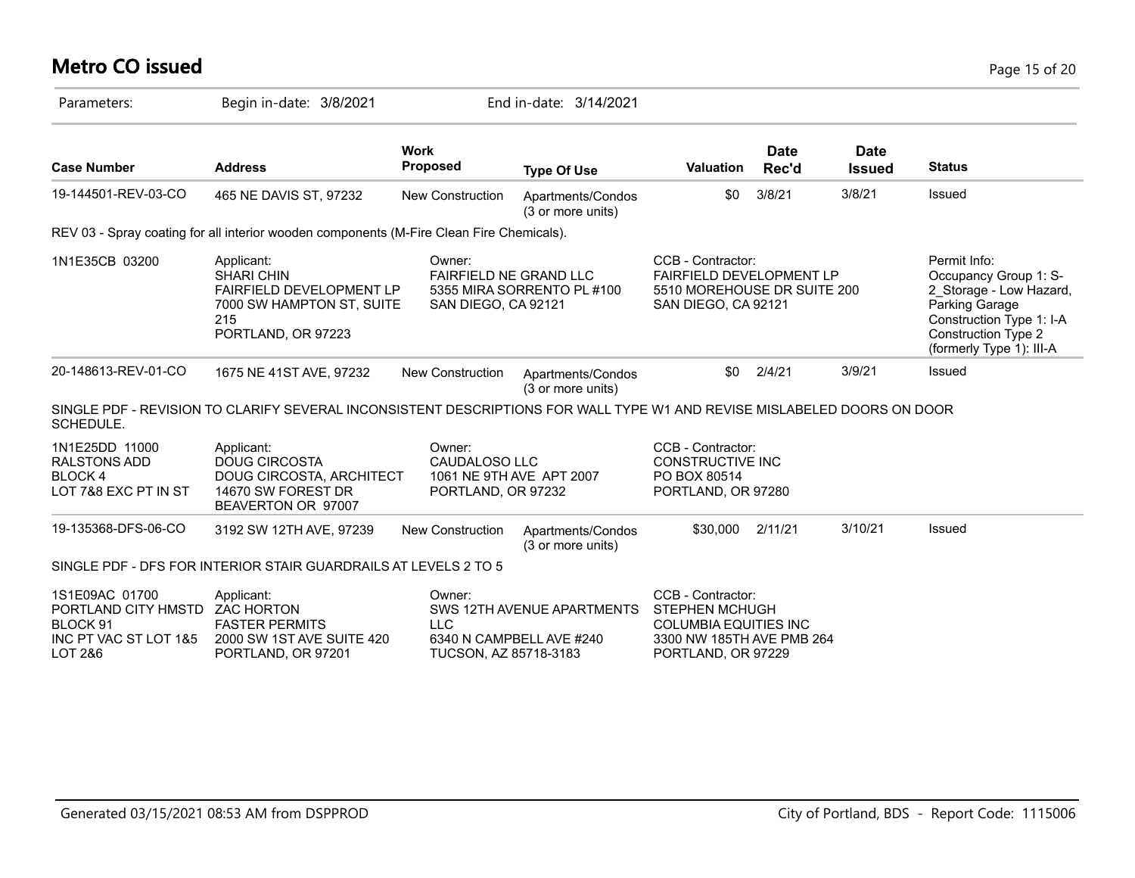# **Metro CO issued** Page 15 of 20

| Parameters:                                                                                                            | Begin in-date: 3/8/2021                                                                                                      |                                                                           | End in-date: 3/14/2021                                 |                                                                                                                               |               |                              |                                                                                                                                                                          |
|------------------------------------------------------------------------------------------------------------------------|------------------------------------------------------------------------------------------------------------------------------|---------------------------------------------------------------------------|--------------------------------------------------------|-------------------------------------------------------------------------------------------------------------------------------|---------------|------------------------------|--------------------------------------------------------------------------------------------------------------------------------------------------------------------------|
| <b>Case Number</b>                                                                                                     | <b>Address</b>                                                                                                               | <b>Work</b><br><b>Proposed</b>                                            | <b>Type Of Use</b>                                     | <b>Valuation</b>                                                                                                              | Date<br>Rec'd | <b>Date</b><br><b>Issued</b> | <b>Status</b>                                                                                                                                                            |
| 19-144501-REV-03-CO                                                                                                    | 465 NE DAVIS ST, 97232                                                                                                       | New Construction                                                          | Apartments/Condos<br>(3 or more units)                 | \$0                                                                                                                           | 3/8/21        | 3/8/21                       | <b>Issued</b>                                                                                                                                                            |
|                                                                                                                        | REV 03 - Spray coating for all interior wooden components (M-Fire Clean Fire Chemicals).                                     |                                                                           |                                                        |                                                                                                                               |               |                              |                                                                                                                                                                          |
| 1N1E35CB 03200                                                                                                         | Applicant:<br><b>SHARI CHIN</b><br><b>FAIRFIELD DEVELOPMENT LP</b><br>7000 SW HAMPTON ST, SUITE<br>215<br>PORTLAND, OR 97223 | Owner:<br><b>FAIRFIELD NE GRAND LLC</b><br>SAN DIEGO, CA 92121            | 5355 MIRA SORRENTO PL #100                             | CCB - Contractor:<br><b>FAIRFIELD DEVELOPMENT LP</b><br>5510 MOREHOUSE DR SUITE 200<br>SAN DIEGO, CA 92121                    |               |                              | Permit Info:<br>Occupancy Group 1: S-<br>2 Storage - Low Hazard,<br>Parking Garage<br>Construction Type 1: I-A<br><b>Construction Type 2</b><br>(formerly Type 1): III-A |
| 20-148613-REV-01-CO                                                                                                    | 1675 NE 41ST AVE, 97232                                                                                                      | New Construction                                                          | Apartments/Condos<br>(3 or more units)                 | \$0                                                                                                                           | 2/4/21        | 3/9/21                       | Issued                                                                                                                                                                   |
| SCHEDULE.                                                                                                              | SINGLE PDF - REVISION TO CLARIFY SEVERAL INCONSISTENT DESCRIPTIONS FOR WALL TYPE W1 AND REVISE MISLABELED DOORS ON DOOR      |                                                                           |                                                        |                                                                                                                               |               |                              |                                                                                                                                                                          |
| 1N1E25DD 11000<br><b>RALSTONS ADD</b><br><b>BLOCK4</b><br>LOT 7&8 EXC PT IN ST                                         | Applicant:<br><b>DOUG CIRCOSTA</b><br>DOUG CIRCOSTA, ARCHITECT<br>14670 SW FOREST DR<br>BEAVERTON OR 97007                   | Owner:<br>CAUDALOSO LLC<br>1061 NE 9TH AVE APT 2007<br>PORTLAND, OR 97232 |                                                        | CCB - Contractor:<br>CONSTRUCTIVE INC<br>PO BOX 80514<br>PORTLAND, OR 97280                                                   |               |                              |                                                                                                                                                                          |
| 19-135368-DFS-06-CO                                                                                                    | 3192 SW 12TH AVE, 97239                                                                                                      | <b>New Construction</b>                                                   | Apartments/Condos<br>(3 or more units)                 | \$30,000                                                                                                                      | 2/11/21       | 3/10/21                      | Issued                                                                                                                                                                   |
|                                                                                                                        | SINGLE PDF - DFS FOR INTERIOR STAIR GUARDRAILS AT LEVELS 2 TO 5                                                              |                                                                           |                                                        |                                                                                                                               |               |                              |                                                                                                                                                                          |
| 1S1E09AC 01700<br>PORTLAND CITY HMSTD ZAC HORTON<br>BLOCK <sub>91</sub><br>INC PT VAC ST LOT 1&5<br><b>LOT 2&amp;6</b> | Applicant:<br><b>FASTER PERMITS</b><br>2000 SW 1ST AVE SUITE 420<br>PORTLAND, OR 97201                                       | Owner:<br><b>LLC</b><br>TUCSON, AZ 85718-3183                             | SWS 12TH AVENUE APARTMENTS<br>6340 N CAMPBELL AVE #240 | CCB - Contractor:<br><b>STEPHEN MCHUGH</b><br><b>COLUMBIA EQUITIES INC</b><br>3300 NW 185TH AVE PMB 264<br>PORTLAND, OR 97229 |               |                              |                                                                                                                                                                          |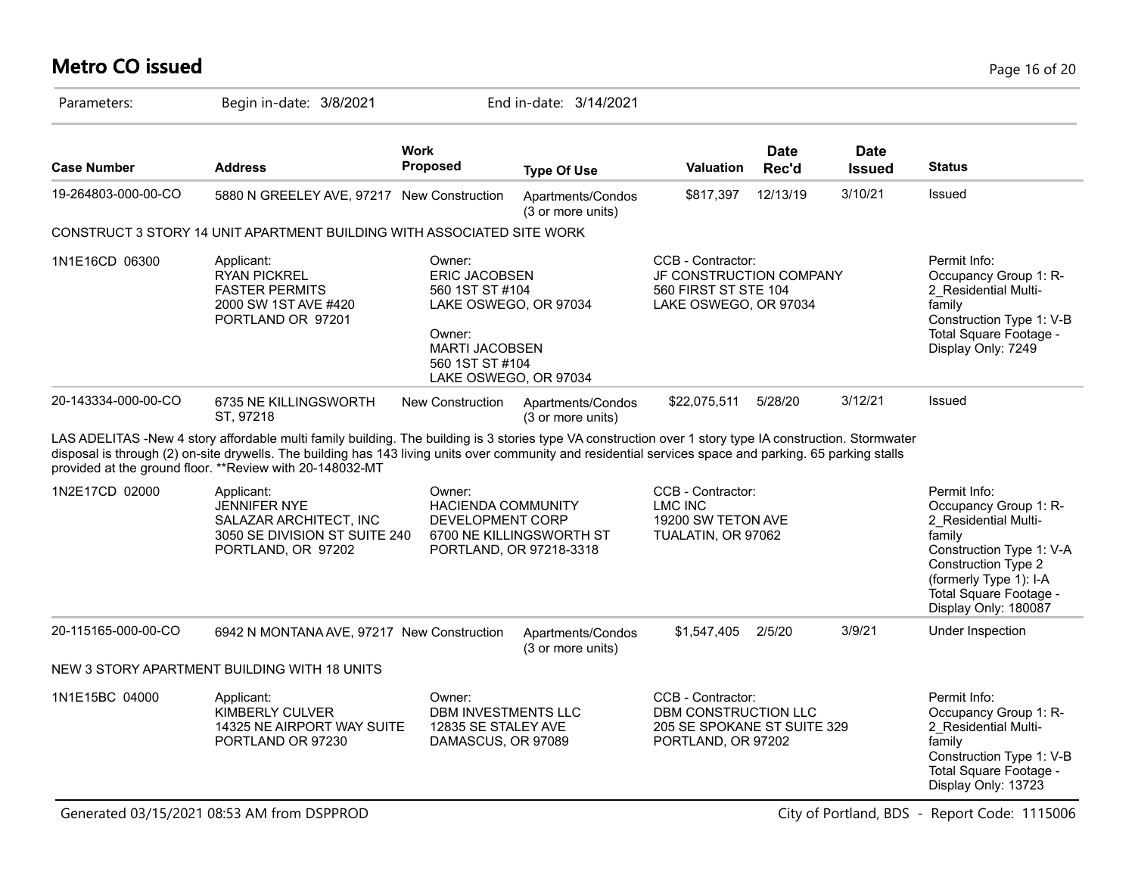# **Metro CO issued** Page 16 of 20

| Parameters:         | Begin in-date: 3/8/2021                                                                                                                                                                                                                                                                                                                                                           |                                                                                                                                  | End in-date: 3/14/2021                              |                                                                                                |                      |                              |                                                                                                                                                                                                        |
|---------------------|-----------------------------------------------------------------------------------------------------------------------------------------------------------------------------------------------------------------------------------------------------------------------------------------------------------------------------------------------------------------------------------|----------------------------------------------------------------------------------------------------------------------------------|-----------------------------------------------------|------------------------------------------------------------------------------------------------|----------------------|------------------------------|--------------------------------------------------------------------------------------------------------------------------------------------------------------------------------------------------------|
| <b>Case Number</b>  | <b>Address</b>                                                                                                                                                                                                                                                                                                                                                                    | Work<br>Proposed                                                                                                                 | <b>Type Of Use</b>                                  | <b>Valuation</b>                                                                               | <b>Date</b><br>Rec'd | <b>Date</b><br><b>Issued</b> | <b>Status</b>                                                                                                                                                                                          |
| 19-264803-000-00-CO | 5880 N GREELEY AVE, 97217 New Construction                                                                                                                                                                                                                                                                                                                                        |                                                                                                                                  | Apartments/Condos<br>(3 or more units)              | \$817,397                                                                                      | 12/13/19             | 3/10/21                      | Issued                                                                                                                                                                                                 |
|                     | CONSTRUCT 3 STORY 14 UNIT APARTMENT BUILDING WITH ASSOCIATED SITE WORK                                                                                                                                                                                                                                                                                                            |                                                                                                                                  |                                                     |                                                                                                |                      |                              |                                                                                                                                                                                                        |
| 1N1E16CD 06300      | Applicant:<br><b>RYAN PICKREL</b><br><b>FASTER PERMITS</b><br>2000 SW 1ST AVE #420<br>PORTLAND OR 97201                                                                                                                                                                                                                                                                           | Owner:<br><b>ERIC JACOBSEN</b><br>560 1ST ST #104<br>Owner:<br><b>MARTI JACOBSEN</b><br>560 1ST ST #104<br>LAKE OSWEGO, OR 97034 | LAKE OSWEGO, OR 97034                               | CCB - Contractor:<br>JF CONSTRUCTION COMPANY<br>560 FIRST ST STE 104<br>LAKE OSWEGO, OR 97034  |                      |                              | Permit Info:<br>Occupancy Group 1: R-<br>2_Residential Multi-<br>family<br>Construction Type 1: V-B<br>Total Square Footage -<br>Display Only: 7249                                                    |
| 20-143334-000-00-CO | 6735 NE KILLINGSWORTH<br>ST. 97218                                                                                                                                                                                                                                                                                                                                                | New Construction                                                                                                                 | Apartments/Condos<br>(3 or more units)              | \$22,075,511                                                                                   | 5/28/20              | 3/12/21                      | Issued                                                                                                                                                                                                 |
|                     | LAS ADELITAS -New 4 story affordable multi family building. The building is 3 stories type VA construction over 1 story type IA construction. Stormwater<br>disposal is through (2) on-site drywells. The building has 143 living units over community and residential services space and parking. 65 parking stalls<br>provided at the ground floor. ** Review with 20-148032-MT |                                                                                                                                  |                                                     |                                                                                                |                      |                              |                                                                                                                                                                                                        |
| 1N2E17CD 02000      | Applicant:<br><b>JENNIFER NYE</b><br>SALAZAR ARCHITECT, INC<br>3050 SE DIVISION ST SUITE 240<br>PORTLAND, OR 97202                                                                                                                                                                                                                                                                | Owner:<br><b>HACIENDA COMMUNITY</b><br>DEVELOPMENT CORP                                                                          | 6700 NE KILLINGSWORTH ST<br>PORTLAND, OR 97218-3318 | CCB - Contractor:<br>LMC INC<br>19200 SW TETON AVE<br>TUALATIN, OR 97062                       |                      |                              | Permit Info:<br>Occupancy Group 1: R-<br>2 Residential Multi-<br>family<br>Construction Type 1: V-A<br>Construction Type 2<br>(formerly Type 1): I-A<br>Total Square Footage -<br>Display Only: 180087 |
| 20-115165-000-00-CO | 6942 N MONTANA AVE, 97217 New Construction                                                                                                                                                                                                                                                                                                                                        |                                                                                                                                  | Apartments/Condos<br>(3 or more units)              | \$1,547,405                                                                                    | 2/5/20               | 3/9/21                       | Under Inspection                                                                                                                                                                                       |
|                     | NEW 3 STORY APARTMENT BUILDING WITH 18 UNITS                                                                                                                                                                                                                                                                                                                                      |                                                                                                                                  |                                                     |                                                                                                |                      |                              |                                                                                                                                                                                                        |
| 1N1E15BC 04000      | Applicant:<br><b>KIMBERLY CULVER</b><br>14325 NE AIRPORT WAY SUITE<br>PORTLAND OR 97230                                                                                                                                                                                                                                                                                           | Owner:<br>DBM INVESTMENTS LLC<br>12835 SE STALEY AVE<br>DAMASCUS, OR 97089                                                       |                                                     | CCB - Contractor:<br>DBM CONSTRUCTION LLC<br>205 SE SPOKANE ST SUITE 329<br>PORTLAND, OR 97202 |                      |                              | Permit Info:<br>Occupancy Group 1: R-<br>2 Residential Multi-<br>family<br>Construction Type 1: V-B<br>Total Square Footage -<br>Display Only: 13723                                                   |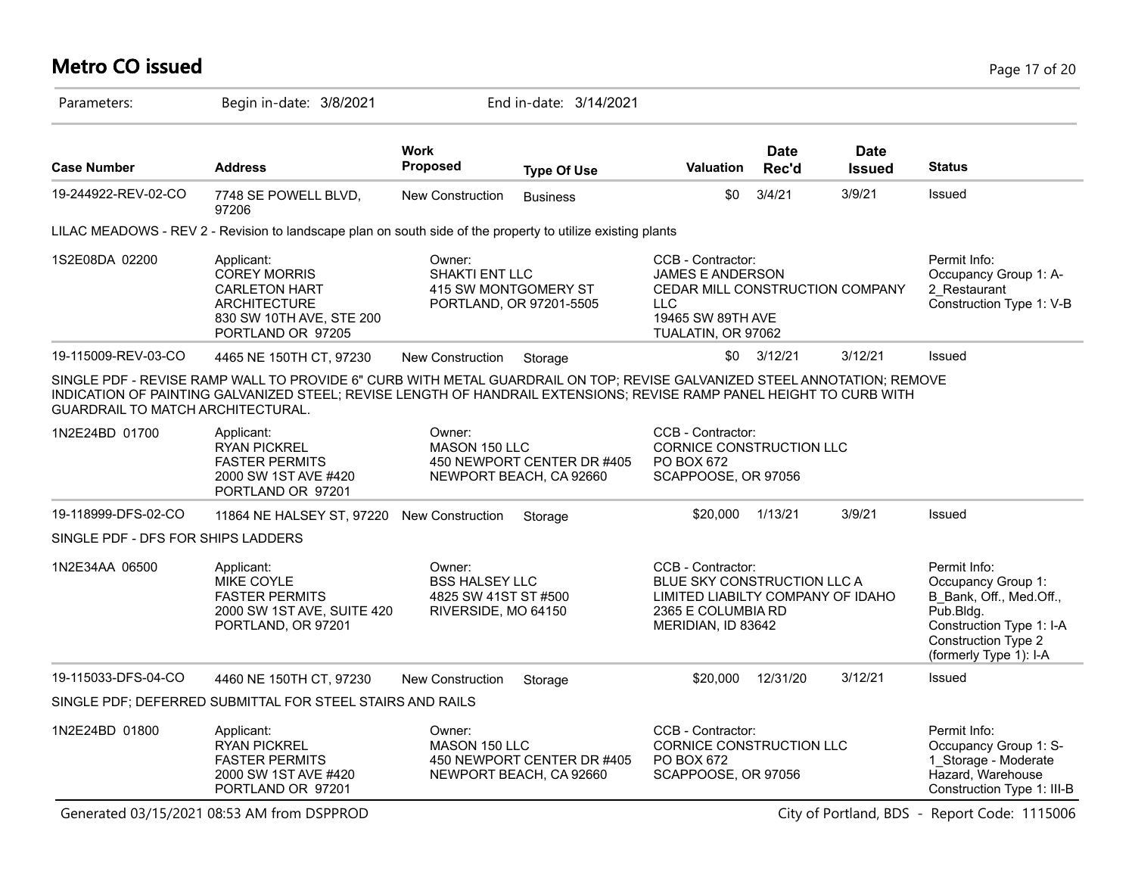# **Metro CO issued** Page 17 of 20

| Parameters:                              | Begin in-date: 3/8/2021                                                                                                                                                                                                                          |                                                                                | End in-date: 3/14/2021                                |                                                                                                                                          |                      |                              |                                                                                                                                                         |
|------------------------------------------|--------------------------------------------------------------------------------------------------------------------------------------------------------------------------------------------------------------------------------------------------|--------------------------------------------------------------------------------|-------------------------------------------------------|------------------------------------------------------------------------------------------------------------------------------------------|----------------------|------------------------------|---------------------------------------------------------------------------------------------------------------------------------------------------------|
| <b>Case Number</b>                       | <b>Address</b>                                                                                                                                                                                                                                   | <b>Work</b><br>Proposed                                                        | <b>Type Of Use</b>                                    | <b>Valuation</b>                                                                                                                         | <b>Date</b><br>Rec'd | <b>Date</b><br><b>Issued</b> | <b>Status</b>                                                                                                                                           |
| 19-244922-REV-02-CO                      | 7748 SE POWELL BLVD,<br>97206                                                                                                                                                                                                                    | New Construction                                                               | <b>Business</b>                                       | \$0                                                                                                                                      | 3/4/21               | 3/9/21                       | Issued                                                                                                                                                  |
|                                          | LILAC MEADOWS - REV 2 - Revision to landscape plan on south side of the property to utilize existing plants                                                                                                                                      |                                                                                |                                                       |                                                                                                                                          |                      |                              |                                                                                                                                                         |
| 1S2E08DA 02200                           | Applicant:<br><b>COREY MORRIS</b><br><b>CARLETON HART</b><br><b>ARCHITECTURE</b><br>830 SW 10TH AVE, STE 200<br>PORTLAND OR 97205                                                                                                                | Owner:<br>SHAKTI ENT LLC<br>415 SW MONTGOMERY ST                               | PORTLAND, OR 97201-5505                               | CCB - Contractor:<br><b>JAMES E ANDERSON</b><br>CEDAR MILL CONSTRUCTION COMPANY<br><b>LLC</b><br>19465 SW 89TH AVE<br>TUALATIN, OR 97062 |                      |                              | Permit Info:<br>Occupancy Group 1: A-<br>2 Restaurant<br>Construction Type 1: V-B                                                                       |
| 19-115009-REV-03-CO                      | 4465 NE 150TH CT, 97230                                                                                                                                                                                                                          | <b>New Construction</b>                                                        | Storage                                               |                                                                                                                                          | $$0$ $3/12/21$       | 3/12/21                      | Issued                                                                                                                                                  |
| <b>GUARDRAIL TO MATCH ARCHITECTURAL.</b> | SINGLE PDF - REVISE RAMP WALL TO PROVIDE 6" CURB WITH METAL GUARDRAIL ON TOP; REVISE GALVANIZED STEEL ANNOTATION; REMOVE<br>INDICATION OF PAINTING GALVANIZED STEEL; REVISE LENGTH OF HANDRAIL EXTENSIONS; REVISE RAMP PANEL HEIGHT TO CURB WITH |                                                                                |                                                       |                                                                                                                                          |                      |                              |                                                                                                                                                         |
| 1N2E24BD 01700                           | Applicant:<br><b>RYAN PICKREL</b><br><b>FASTER PERMITS</b><br>2000 SW 1ST AVE #420<br>PORTLAND OR 97201                                                                                                                                          | Owner:<br>MASON 150 LLC                                                        | 450 NEWPORT CENTER DR #405<br>NEWPORT BEACH, CA 92660 | CCB - Contractor:<br><b>CORNICE CONSTRUCTION LLC</b><br>PO BOX 672<br>SCAPPOOSE, OR 97056                                                |                      |                              |                                                                                                                                                         |
| 19-118999-DFS-02-CO                      | 11864 NE HALSEY ST, 97220 New Construction                                                                                                                                                                                                       |                                                                                | Storage                                               | \$20,000 1/13/21                                                                                                                         |                      | 3/9/21                       | Issued                                                                                                                                                  |
| SINGLE PDF - DFS FOR SHIPS LADDERS       |                                                                                                                                                                                                                                                  |                                                                                |                                                       |                                                                                                                                          |                      |                              |                                                                                                                                                         |
| 1N2E34AA 06500                           | Applicant:<br>MIKE COYLE<br><b>FASTER PERMITS</b><br>2000 SW 1ST AVE, SUITE 420<br>PORTLAND, OR 97201                                                                                                                                            | Owner:<br><b>BSS HALSEY LLC</b><br>4825 SW 41ST ST #500<br>RIVERSIDE, MO 64150 |                                                       | CCB - Contractor:<br>BLUE SKY CONSTRUCTION LLC A<br>LIMITED LIABILTY COMPANY OF IDAHO<br>2365 E COLUMBIA RD<br>MERIDIAN, ID 83642        |                      |                              | Permit Info:<br>Occupancy Group 1:<br>B Bank, Off., Med.Off.,<br>Pub.Bldg.<br>Construction Type 1: I-A<br>Construction Type 2<br>(formerly Type 1): I-A |
| 19-115033-DFS-04-CO                      | 4460 NE 150TH CT, 97230                                                                                                                                                                                                                          | New Construction                                                               | Storage                                               | \$20,000                                                                                                                                 | 12/31/20             | 3/12/21                      | Issued                                                                                                                                                  |
|                                          | SINGLE PDF; DEFERRED SUBMITTAL FOR STEEL STAIRS AND RAILS                                                                                                                                                                                        |                                                                                |                                                       |                                                                                                                                          |                      |                              |                                                                                                                                                         |
| 1N2E24BD 01800                           | Applicant:<br><b>RYAN PICKREL</b><br><b>FASTER PERMITS</b><br>2000 SW 1ST AVE #420<br>PORTLAND OR 97201                                                                                                                                          | Owner:<br>MASON 150 LLC                                                        | 450 NEWPORT CENTER DR #405<br>NEWPORT BEACH, CA 92660 | CCB - Contractor:<br>CORNICE CONSTRUCTION LLC<br>PO BOX 672<br>SCAPPOOSE, OR 97056                                                       |                      |                              | Permit Info:<br>Occupancy Group 1: S-<br>1 Storage - Moderate<br>Hazard, Warehouse<br>Construction Type 1: III-B                                        |
|                                          | Generated 03/15/2021 08:53 AM from DSPPROD                                                                                                                                                                                                       |                                                                                |                                                       |                                                                                                                                          |                      |                              | City of Portland, BDS - Report Code: 1115006                                                                                                            |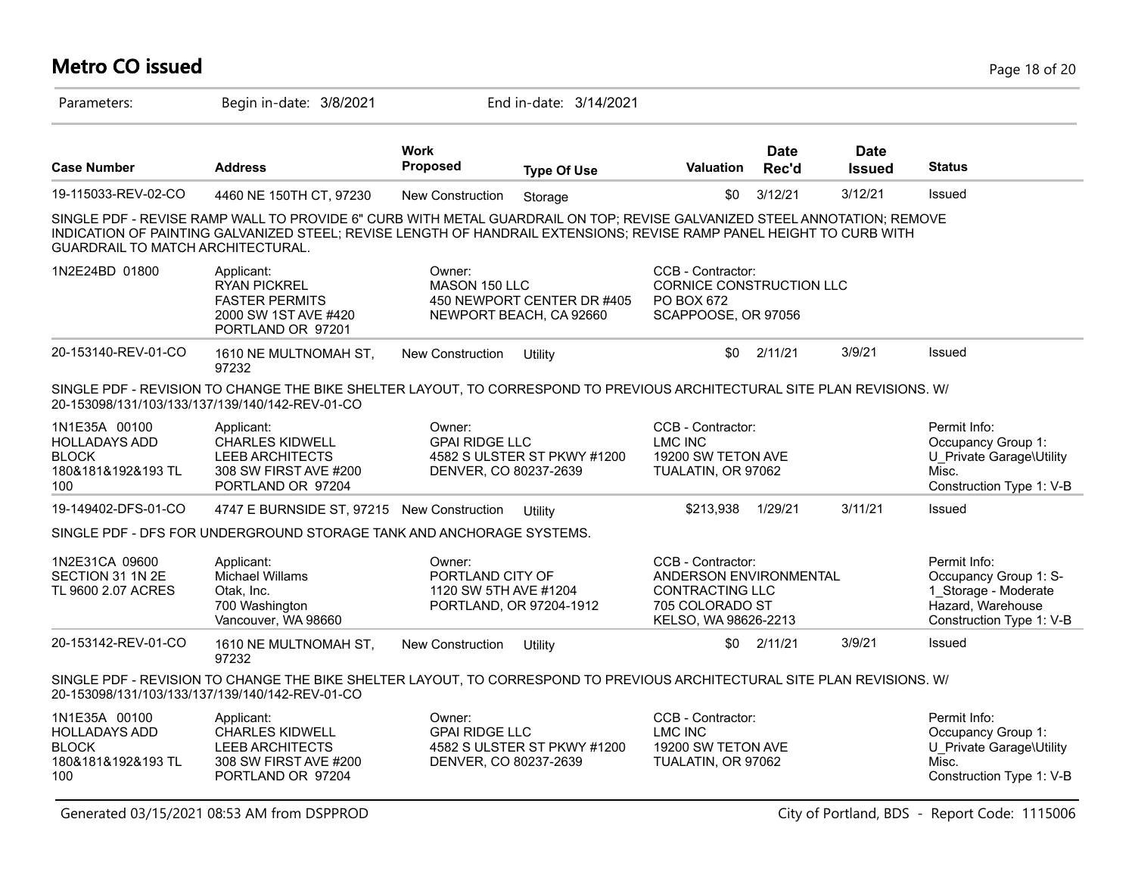### **Metro CO issued** Page 18 of 20

| Parameters:                                                                        | Begin in-date: 3/8/2021                                                                                                                                                                                                                          |                                                                                         | End in-date: 3/14/2021                                |                                                                                                                  |                      |                              |                                                                                                                |
|------------------------------------------------------------------------------------|--------------------------------------------------------------------------------------------------------------------------------------------------------------------------------------------------------------------------------------------------|-----------------------------------------------------------------------------------------|-------------------------------------------------------|------------------------------------------------------------------------------------------------------------------|----------------------|------------------------------|----------------------------------------------------------------------------------------------------------------|
| <b>Case Number</b>                                                                 | <b>Address</b>                                                                                                                                                                                                                                   | <b>Work</b><br>Proposed                                                                 | <b>Type Of Use</b>                                    | <b>Valuation</b>                                                                                                 | <b>Date</b><br>Rec'd | <b>Date</b><br><b>Issued</b> | <b>Status</b>                                                                                                  |
| 19-115033-REV-02-CO                                                                | 4460 NE 150TH CT, 97230                                                                                                                                                                                                                          | New Construction                                                                        | Storage                                               | \$0                                                                                                              | 3/12/21              | 3/12/21                      | Issued                                                                                                         |
| GUARDRAIL TO MATCH ARCHITECTURAL.                                                  | SINGLE PDF - REVISE RAMP WALL TO PROVIDE 6" CURB WITH METAL GUARDRAIL ON TOP; REVISE GALVANIZED STEEL ANNOTATION; REMOVE<br>INDICATION OF PAINTING GALVANIZED STEEL; REVISE LENGTH OF HANDRAIL EXTENSIONS; REVISE RAMP PANEL HEIGHT TO CURB WITH |                                                                                         |                                                       |                                                                                                                  |                      |                              |                                                                                                                |
| 1N2E24BD 01800                                                                     | Applicant:<br><b>RYAN PICKREL</b><br><b>FASTER PERMITS</b><br>2000 SW 1ST AVE #420<br>PORTLAND OR 97201                                                                                                                                          | Owner:<br>MASON 150 LLC                                                                 | 450 NEWPORT CENTER DR #405<br>NEWPORT BEACH, CA 92660 | CCB - Contractor:<br>CORNICE CONSTRUCTION LLC<br>PO BOX 672<br>SCAPPOOSE, OR 97056                               |                      |                              |                                                                                                                |
| 20-153140-REV-01-CO                                                                | 1610 NE MULTNOMAH ST,<br>97232                                                                                                                                                                                                                   | New Construction                                                                        | Utility                                               | \$0                                                                                                              | 2/11/21              | 3/9/21                       | Issued                                                                                                         |
|                                                                                    | SINGLE PDF - REVISION TO CHANGE THE BIKE SHELTER LAYOUT, TO CORRESPOND TO PREVIOUS ARCHITECTURAL SITE PLAN REVISIONS. W/<br>20-153098/131/103/133/137/139/140/142-REV-01-CO                                                                      |                                                                                         |                                                       |                                                                                                                  |                      |                              |                                                                                                                |
| 1N1E35A 00100<br><b>HOLLADAYS ADD</b><br><b>BLOCK</b><br>180&181&192&193 TL<br>100 | Applicant:<br><b>CHARLES KIDWELL</b><br><b>LEEB ARCHITECTS</b><br>308 SW FIRST AVE #200<br>PORTLAND OR 97204                                                                                                                                     | Owner:<br><b>GPAI RIDGE LLC</b><br>4582 S ULSTER ST PKWY #1200<br>DENVER, CO 80237-2639 |                                                       | CCB - Contractor:<br><b>LMC INC</b><br>19200 SW TETON AVE<br>TUALATIN, OR 97062                                  |                      |                              | Permit Info:<br>Occupancy Group 1:<br>U Private Garage\Utility<br>Misc.<br>Construction Type 1: V-B            |
| 19-149402-DFS-01-CO                                                                | 4747 E BURNSIDE ST, 97215 New Construction                                                                                                                                                                                                       |                                                                                         | Utility                                               | \$213.938                                                                                                        | 1/29/21              | 3/11/21                      | Issued                                                                                                         |
|                                                                                    | SINGLE PDF - DFS FOR UNDERGROUND STORAGE TANK AND ANCHORAGE SYSTEMS.                                                                                                                                                                             |                                                                                         |                                                       |                                                                                                                  |                      |                              |                                                                                                                |
| 1N2E31CA 09600<br>SECTION 31 1N 2E<br>TL 9600 2.07 ACRES                           | Applicant:<br>Michael Willams<br>Otak, Inc.<br>700 Washington<br>Vancouver, WA 98660                                                                                                                                                             | Owner:<br>PORTLAND CITY OF<br>1120 SW 5TH AVE #1204<br>PORTLAND, OR 97204-1912          |                                                       | CCB - Contractor:<br>ANDERSON ENVIRONMENTAL<br><b>CONTRACTING LLC</b><br>705 COLORADO ST<br>KELSO, WA 98626-2213 |                      |                              | Permit Info:<br>Occupancy Group 1: S-<br>1_Storage - Moderate<br>Hazard, Warehouse<br>Construction Type 1: V-B |
| 20-153142-REV-01-CO                                                                | 1610 NE MULTNOMAH ST,<br>97232                                                                                                                                                                                                                   | New Construction                                                                        | Utility                                               | \$0                                                                                                              | 2/11/21              | 3/9/21                       | Issued                                                                                                         |
|                                                                                    | SINGLE PDF - REVISION TO CHANGE THE BIKE SHELTER LAYOUT, TO CORRESPOND TO PREVIOUS ARCHITECTURAL SITE PLAN REVISIONS. W/<br>20-153098/131/103/133/137/139/140/142-REV-01-CO                                                                      |                                                                                         |                                                       |                                                                                                                  |                      |                              |                                                                                                                |
| 1N1E35A 00100<br><b>HOLLADAYS ADD</b><br><b>BLOCK</b><br>180&181&192&193 TL<br>100 | Applicant:<br><b>CHARLES KIDWELL</b><br><b>LEEB ARCHITECTS</b><br>308 SW FIRST AVE #200<br>PORTLAND OR 97204                                                                                                                                     | Owner:<br><b>GPAI RIDGE LLC</b><br>DENVER, CO 80237-2639                                | 4582 S ULSTER ST PKWY #1200                           | CCB - Contractor:<br>LMC INC<br>19200 SW TETON AVE<br>TUALATIN, OR 97062                                         |                      |                              | Permit Info:<br>Occupancy Group 1:<br>U Private Garage\Utility<br>Misc.<br>Construction Type 1: V-B            |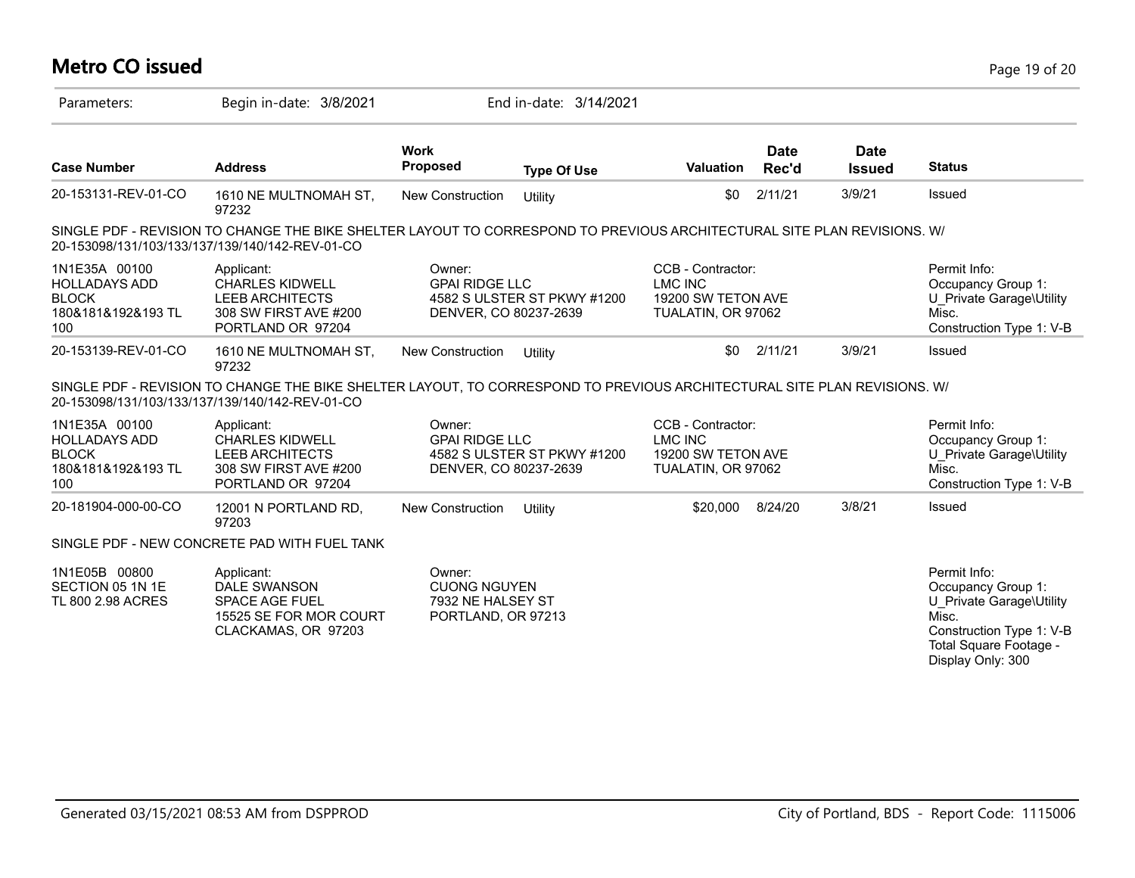| Metro CO issued<br>Page 19 of 20                                                   |                                                                                                                                                                             |                                                                          |                             |                                                                                 |                      |                              |                                                                                                                                                    |  |
|------------------------------------------------------------------------------------|-----------------------------------------------------------------------------------------------------------------------------------------------------------------------------|--------------------------------------------------------------------------|-----------------------------|---------------------------------------------------------------------------------|----------------------|------------------------------|----------------------------------------------------------------------------------------------------------------------------------------------------|--|
| Parameters:                                                                        | Begin in-date: 3/8/2021                                                                                                                                                     |                                                                          | End in-date: 3/14/2021      |                                                                                 |                      |                              |                                                                                                                                                    |  |
| <b>Case Number</b>                                                                 | <b>Address</b>                                                                                                                                                              | <b>Work</b><br>Proposed                                                  | <b>Type Of Use</b>          | <b>Valuation</b>                                                                | <b>Date</b><br>Rec'd | <b>Date</b><br><b>Issued</b> | <b>Status</b>                                                                                                                                      |  |
| 20-153131-REV-01-CO                                                                | 1610 NE MULTNOMAH ST,<br>97232                                                                                                                                              | New Construction                                                         | Utility                     | \$0                                                                             | 2/11/21              | 3/9/21                       | Issued                                                                                                                                             |  |
|                                                                                    | SINGLE PDF - REVISION TO CHANGE THE BIKE SHELTER LAYOUT TO CORRESPOND TO PREVIOUS ARCHITECTURAL SITE PLAN REVISIONS. W/<br>20-153098/131/103/133/137/139/140/142-REV-01-CO  |                                                                          |                             |                                                                                 |                      |                              |                                                                                                                                                    |  |
| 1N1E35A 00100<br><b>HOLLADAYS ADD</b><br><b>BLOCK</b><br>180&181&192&193 TL<br>100 | Applicant:<br><b>CHARLES KIDWELL</b><br><b>LEEB ARCHITECTS</b><br>308 SW FIRST AVE #200<br>PORTLAND OR 97204                                                                | Owner:<br><b>GPAI RIDGE LLC</b><br>DENVER, CO 80237-2639                 | 4582 S ULSTER ST PKWY #1200 | CCB - Contractor:<br><b>LMC INC</b><br>19200 SW TETON AVE<br>TUALATIN, OR 97062 |                      |                              | Permit Info:<br>Occupancy Group 1:<br>U Private Garage\Utility<br>Misc.<br>Construction Type 1: V-B                                                |  |
| 20-153139-REV-01-CO                                                                | 1610 NE MULTNOMAH ST.<br>97232                                                                                                                                              | New Construction                                                         | Utility                     | \$0                                                                             | 2/11/21              | 3/9/21                       | Issued                                                                                                                                             |  |
|                                                                                    | SINGLE PDF - REVISION TO CHANGE THE BIKE SHELTER LAYOUT, TO CORRESPOND TO PREVIOUS ARCHITECTURAL SITE PLAN REVISIONS. W/<br>20-153098/131/103/133/137/139/140/142-REV-01-CO |                                                                          |                             |                                                                                 |                      |                              |                                                                                                                                                    |  |
| 1N1E35A 00100<br><b>HOLLADAYS ADD</b><br><b>BLOCK</b><br>180&181&192&193 TL<br>100 | Applicant:<br><b>CHARLES KIDWELL</b><br><b>LEEB ARCHITECTS</b><br>308 SW FIRST AVE #200<br>PORTLAND OR 97204                                                                | Owner:<br><b>GPAI RIDGE LLC</b><br>DENVER, CO 80237-2639                 | 4582 S ULSTER ST PKWY #1200 | CCB - Contractor:<br><b>LMC INC</b><br>19200 SW TETON AVE<br>TUALATIN, OR 97062 |                      |                              | Permit Info:<br>Occupancy Group 1:<br>U_Private Garage\Utility<br>Misc.<br>Construction Type 1: V-B                                                |  |
| 20-181904-000-00-CO                                                                | 12001 N PORTLAND RD,<br>97203                                                                                                                                               | New Construction                                                         | Utility                     | \$20,000                                                                        | 8/24/20              | 3/8/21                       | Issued                                                                                                                                             |  |
|                                                                                    | SINGLE PDF - NEW CONCRETE PAD WITH FUEL TANK                                                                                                                                |                                                                          |                             |                                                                                 |                      |                              |                                                                                                                                                    |  |
| 1N1E05B 00800<br>SECTION 05 1N 1E<br>TL 800 2.98 ACRES                             | Applicant:<br>DALE SWANSON<br><b>SPACE AGE FUEL</b><br>15525 SE FOR MOR COURT<br>CLACKAMAS, OR 97203                                                                        | Owner:<br><b>CUONG NGUYEN</b><br>7932 NE HALSEY ST<br>PORTLAND, OR 97213 |                             |                                                                                 |                      |                              | Permit Info:<br>Occupancy Group 1:<br>U Private Garage\Utility<br>Misc.<br>Construction Type 1: V-B<br>Total Square Footage -<br>Display Only: 300 |  |